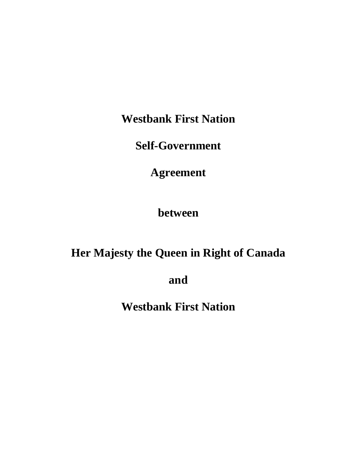**Westbank First Nation**

**Self-Government**

**Agreement**

**between**

# **Her Majesty the Queen in Right of Canada**

**and**

**Westbank First Nation**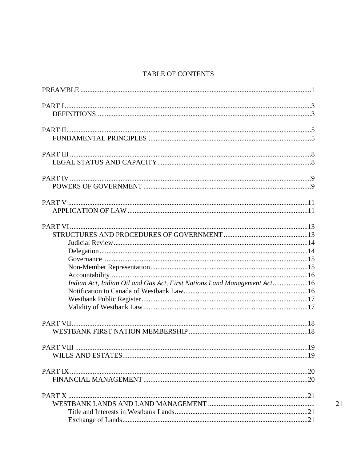## TABLE OF CONTENTS

| Indian Act, Indian Oil and Gas Act, First Nations Land Management Act16 |
|-------------------------------------------------------------------------|
|                                                                         |
|                                                                         |
|                                                                         |
|                                                                         |
|                                                                         |
|                                                                         |
|                                                                         |
|                                                                         |
|                                                                         |
|                                                                         |
|                                                                         |
|                                                                         |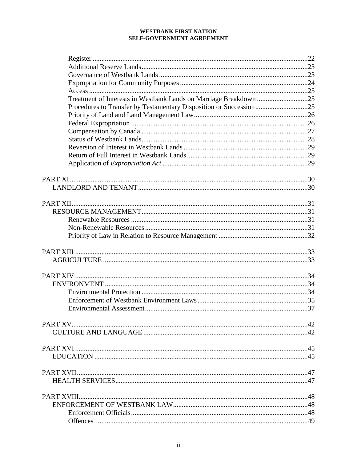| Treatment of Interests in Westbank Lands on Marriage Breakdown 25  |  |
|--------------------------------------------------------------------|--|
| Procedures to Transfer by Testamentary Disposition or Succession25 |  |
|                                                                    |  |
|                                                                    |  |
|                                                                    |  |
|                                                                    |  |
|                                                                    |  |
|                                                                    |  |
|                                                                    |  |
|                                                                    |  |
|                                                                    |  |
|                                                                    |  |
|                                                                    |  |
|                                                                    |  |
|                                                                    |  |
|                                                                    |  |
|                                                                    |  |
|                                                                    |  |
|                                                                    |  |
|                                                                    |  |
|                                                                    |  |
|                                                                    |  |
|                                                                    |  |
|                                                                    |  |
|                                                                    |  |
|                                                                    |  |
|                                                                    |  |
|                                                                    |  |
|                                                                    |  |
|                                                                    |  |
|                                                                    |  |
|                                                                    |  |
|                                                                    |  |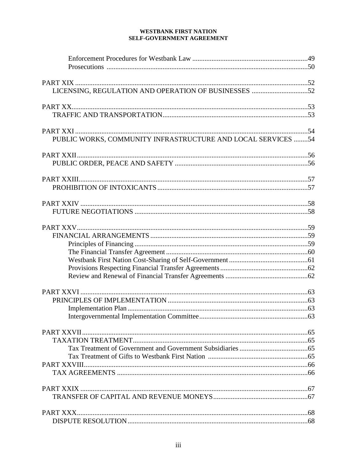| PUBLIC WORKS, COMMUNITY INFRASTRUCTURE AND LOCAL SERVICES 54 |  |
|--------------------------------------------------------------|--|
|                                                              |  |
|                                                              |  |
|                                                              |  |
|                                                              |  |
|                                                              |  |
|                                                              |  |
|                                                              |  |
|                                                              |  |
|                                                              |  |
|                                                              |  |
|                                                              |  |
|                                                              |  |
|                                                              |  |
|                                                              |  |
|                                                              |  |
|                                                              |  |
|                                                              |  |
|                                                              |  |
|                                                              |  |
|                                                              |  |
|                                                              |  |
|                                                              |  |
|                                                              |  |
|                                                              |  |
|                                                              |  |
|                                                              |  |
|                                                              |  |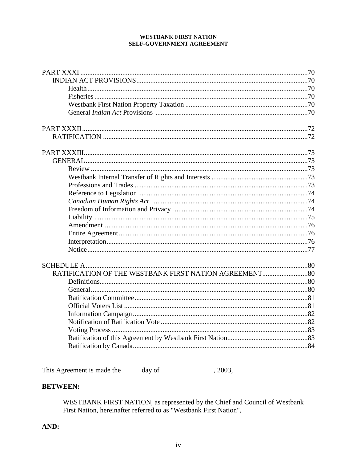This Agreement is made the \_\_\_\_\_ day of \_\_\_\_\_\_\_\_\_\_\_\_\_\_\_\_\_\_\_\_, 2003,

## **BETWEEN:**

WESTBANK FIRST NATION, as represented by the Chief and Council of Westbank<br>First Nation, hereinafter referred to as "Westbank First Nation",

## AND: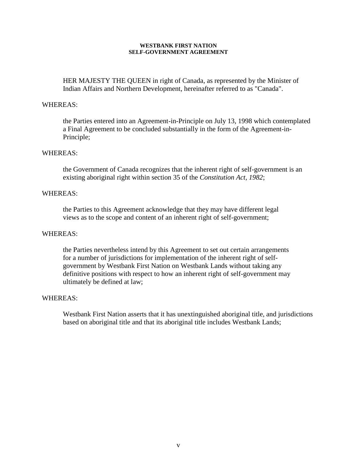HER MAJESTY THE QUEEN in right of Canada, as represented by the Minister of Indian Affairs and Northern Development, hereinafter referred to as "Canada".

### WHEREAS:

the Parties entered into an Agreement-in-Principle on July 13, 1998 which contemplated a Final Agreement to be concluded substantially in the form of the Agreement-in-Principle;

### WHEREAS:

the Government of Canada recognizes that the inherent right of self-government is an existing aboriginal right within section 35 of the *Constitution Act, 1982*;

### WHEREAS:

the Parties to this Agreement acknowledge that they may have different legal views as to the scope and content of an inherent right of self-government;

### WHEREAS:

the Parties nevertheless intend by this Agreement to set out certain arrangements for a number of jurisdictions for implementation of the inherent right of selfgovernment by Westbank First Nation on Westbank Lands without taking any definitive positions with respect to how an inherent right of self-government may ultimately be defined at law;

### WHEREAS:

Westbank First Nation asserts that it has unextinguished aboriginal title, and jurisdictions based on aboriginal title and that its aboriginal title includes Westbank Lands;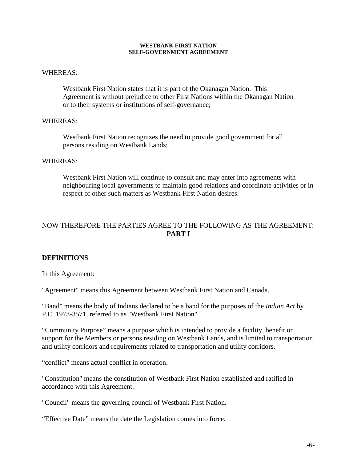### WHEREAS:

Westbank First Nation states that it is part of the Okanagan Nation. This Agreement is without prejudice to other First Nations within the Okanagan Nation or to their systems or institutions of self-governance;

### WHEREAS:

Westbank First Nation recognizes the need to provide good government for all persons residing on Westbank Lands;

### WHEREAS:

Westbank First Nation will continue to consult and may enter into agreements with neighbouring local governments to maintain good relations and coordinate activities or in respect of other such matters as Westbank First Nation desires.

## NOW THEREFORE THE PARTIES AGREE TO THE FOLLOWING AS THE AGREEMENT: **PART I**

### **DEFINITIONS**

In this Agreement:

"Agreement" means this Agreement between Westbank First Nation and Canada.

"Band" means the body of Indians declared to be a band for the purposes of the *Indian Act* by P.C. 1973-3571, referred to as "Westbank First Nation".

"Community Purpose" means a purpose which is intended to provide a facility, benefit or support for the Members or persons residing on Westbank Lands, and is limited to transportation and utility corridors and requirements related to transportation and utility corridors.

"conflict" means actual conflict in operation.

"Constitution" means the constitution of Westbank First Nation established and ratified in accordance with this Agreement.

"Council" means the governing council of Westbank First Nation.

"Effective Date" means the date the Legislation comes into force.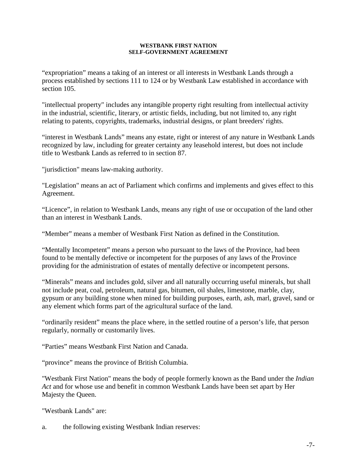"expropriation" means a taking of an interest or all interests in Westbank Lands through a process established by sections 111 to 124 or by Westbank Law established in accordance with section 105.

"intellectual property" includes any intangible property right resulting from intellectual activity in the industrial, scientific, literary, or artistic fields, including, but not limited to, any right relating to patents, copyrights, trademarks, industrial designs, or plant breeders' rights.

"interest in Westbank Lands" means any estate, right or interest of any nature in Westbank Lands recognized by law, including for greater certainty any leasehold interest, but does not include title to Westbank Lands as referred to in section 87.

"jurisdiction" means law-making authority.

"Legislation" means an act of Parliament which confirms and implements and gives effect to this Agreement.

"Licence", in relation to Westbank Lands, means any right of use or occupation of the land other than an interest in Westbank Lands.

"Member" means a member of Westbank First Nation as defined in the Constitution.

"Mentally Incompetent" means a person who pursuant to the laws of the Province, had been found to be mentally defective or incompetent for the purposes of any laws of the Province providing for the administration of estates of mentally defective or incompetent persons.

"Minerals" means and includes gold, silver and all naturally occurring useful minerals, but shall not include peat, coal, petroleum, natural gas, bitumen, oil shales, limestone, marble, clay, gypsum or any building stone when mined for building purposes, earth, ash, marl, gravel, sand or any element which forms part of the agricultural surface of the land.

"ordinarily resident" means the place where, in the settled routine of a person's life, that person regularly, normally or customarily lives.

"Parties" means Westbank First Nation and Canada.

"province" means the province of British Columbia.

"Westbank First Nation" means the body of people formerly known as the Band under the *Indian Act* and for whose use and benefit in common Westbank Lands have been set apart by Her Majesty the Queen.

"Westbank Lands" are:

a. the following existing Westbank Indian reserves: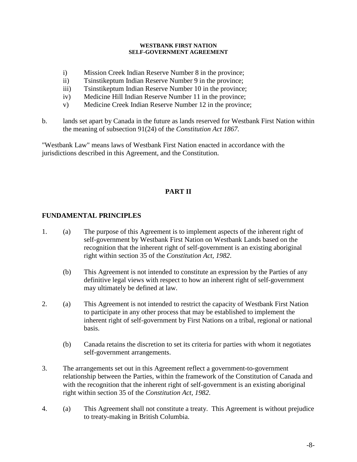- i) Mission Creek Indian Reserve Number 8 in the province;
- ii) Tsinstikeptum Indian Reserve Number 9 in the province;
- iii) Tsinstikeptum Indian Reserve Number 10 in the province;
- iv) Medicine Hill Indian Reserve Number 11 in the province;
- v) Medicine Creek Indian Reserve Number 12 in the province;
- b. lands set apart by Canada in the future as lands reserved for Westbank First Nation within the meaning of subsection 91(24) of the *Constitution Act 1867.*

"Westbank Law" means laws of Westbank First Nation enacted in accordance with the jurisdictions described in this Agreement, and the Constitution.

## **PART II**

## **FUNDAMENTAL PRINCIPLES**

- 1. (a) The purpose of this Agreement is to implement aspects of the inherent right of self-government by Westbank First Nation on Westbank Lands based on the recognition that the inherent right of self-government is an existing aboriginal right within section 35 of the *Constitution Act, 1982*.
	- (b) This Agreement is not intended to constitute an expression by the Parties of any definitive legal views with respect to how an inherent right of self-government may ultimately be defined at law.
- 2. (a) This Agreement is not intended to restrict the capacity of Westbank First Nation to participate in any other process that may be established to implement the inherent right of self-government by First Nations on a tribal, regional or national basis.
	- (b) Canada retains the discretion to set its criteria for parties with whom it negotiates self-government arrangements.
- 3. The arrangements set out in this Agreement reflect a government-to-government relationship between the Parties, within the framework of the Constitution of Canada and with the recognition that the inherent right of self-government is an existing aboriginal right within section 35 of the *Constitution Act, 1982*.
- 4. (a) This Agreement shall not constitute a treaty. This Agreement is without prejudice to treaty-making in British Columbia.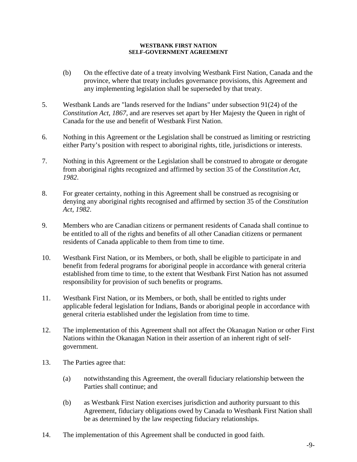- (b) On the effective date of a treaty involving Westbank First Nation, Canada and the province, where that treaty includes governance provisions, this Agreement and any implementing legislation shall be superseded by that treaty.
- 5. Westbank Lands are "lands reserved for the Indians" under subsection 91(24) of the *Constitution Act, 1867*, and are reserves set apart by Her Majesty the Queen in right of Canada for the use and benefit of Westbank First Nation.
- 6. Nothing in this Agreement or the Legislation shall be construed as limiting or restricting either Party's position with respect to aboriginal rights, title, jurisdictions or interests.
- 7. Nothing in this Agreement or the Legislation shall be construed to abrogate or derogate from aboriginal rights recognized and affirmed by section 35 of the *Constitution Act, 1982*.
- 8. For greater certainty, nothing in this Agreement shall be construed as recognising or denying any aboriginal rights recognised and affirmed by section 35 of the *Constitution Act, 1982*.
- 9. Members who are Canadian citizens or permanent residents of Canada shall continue to be entitled to all of the rights and benefits of all other Canadian citizens or permanent residents of Canada applicable to them from time to time.
- 10. Westbank First Nation, or its Members, or both, shall be eligible to participate in and benefit from federal programs for aboriginal people in accordance with general criteria established from time to time, to the extent that Westbank First Nation has not assumed responsibility for provision of such benefits or programs.
- 11. Westbank First Nation, or its Members, or both, shall be entitled to rights under applicable federal legislation for Indians, Bands or aboriginal people in accordance with general criteria established under the legislation from time to time.
- 12. The implementation of this Agreement shall not affect the Okanagan Nation or other First Nations within the Okanagan Nation in their assertion of an inherent right of selfgovernment.
- 13. The Parties agree that:
	- (a) notwithstanding this Agreement, the overall fiduciary relationship between the Parties shall continue; and
	- (b) as Westbank First Nation exercises jurisdiction and authority pursuant to this Agreement, fiduciary obligations owed by Canada to Westbank First Nation shall be as determined by the law respecting fiduciary relationships.
- 14. The implementation of this Agreement shall be conducted in good faith.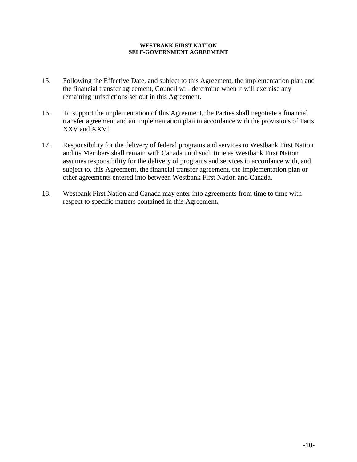- 15. Following the Effective Date, and subject to this Agreement, the implementation plan and the financial transfer agreement, Council will determine when it will exercise any remaining jurisdictions set out in this Agreement.
- 16. To support the implementation of this Agreement, the Parties shall negotiate a financial transfer agreement and an implementation plan in accordance with the provisions of Parts XXV and XXVI.
- 17. Responsibility for the delivery of federal programs and services to Westbank First Nation and its Members shall remain with Canada until such time as Westbank First Nation assumes responsibility for the delivery of programs and services in accordance with, and subject to, this Agreement, the financial transfer agreement, the implementation plan or other agreements entered into between Westbank First Nation and Canada.
- 18. Westbank First Nation and Canada may enter into agreements from time to time with respect to specific matters contained in this Agreement**.**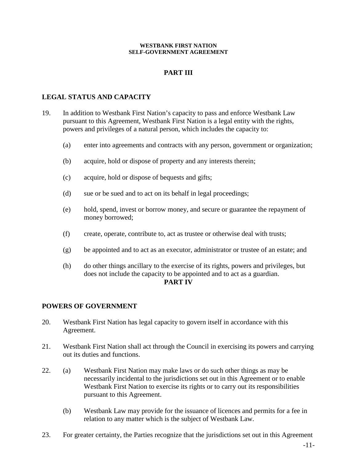## **PART III**

## **LEGAL STATUS AND CAPACITY**

- 19. In addition to Westbank First Nation's capacity to pass and enforce Westbank Law pursuant to this Agreement, Westbank First Nation is a legal entity with the rights, powers and privileges of a natural person, which includes the capacity to:
	- (a) enter into agreements and contracts with any person, government or organization;
	- (b) acquire, hold or dispose of property and any interests therein;
	- (c) acquire, hold or dispose of bequests and gifts;
	- (d) sue or be sued and to act on its behalf in legal proceedings;
	- (e) hold, spend, invest or borrow money, and secure or guarantee the repayment of money borrowed;
	- (f) create, operate, contribute to, act as trustee or otherwise deal with trusts;
	- (g) be appointed and to act as an executor, administrator or trustee of an estate; and
	- (h) do other things ancillary to the exercise of its rights, powers and privileges, but does not include the capacity to be appointed and to act as a guardian.

### **PART IV**

### **POWERS OF GOVERNMENT**

- 20. Westbank First Nation has legal capacity to govern itself in accordance with this Agreement.
- 21. Westbank First Nation shall act through the Council in exercising its powers and carrying out its duties and functions.
- 22. (a) Westbank First Nation may make laws or do such other things as may be necessarily incidental to the jurisdictions set out in this Agreement or to enable Westbank First Nation to exercise its rights or to carry out its responsibilities pursuant to this Agreement.
	- (b) Westbank Law may provide for the issuance of licences and permits for a fee in relation to any matter which is the subject of Westbank Law.
- 23. For greater certainty, the Parties recognize that the jurisdictions set out in this Agreement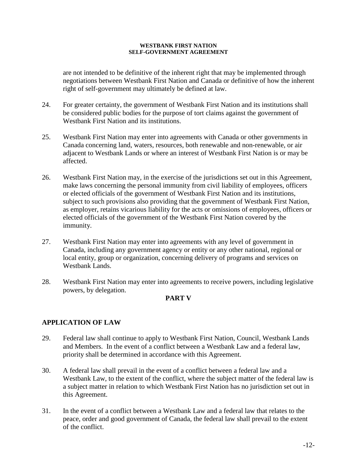are not intended to be definitive of the inherent right that may be implemented through negotiations between Westbank First Nation and Canada or definitive of how the inherent right of self-government may ultimately be defined at law.

- 24. For greater certainty, the government of Westbank First Nation and its institutions shall be considered public bodies for the purpose of tort claims against the government of Westbank First Nation and its institutions.
- 25. Westbank First Nation may enter into agreements with Canada or other governments in Canada concerning land, waters, resources, both renewable and non-renewable, or air adjacent to Westbank Lands or where an interest of Westbank First Nation is or may be affected.
- 26. Westbank First Nation may, in the exercise of the jurisdictions set out in this Agreement, make laws concerning the personal immunity from civil liability of employees, officers or elected officials of the government of Westbank First Nation and its institutions, subject to such provisions also providing that the government of Westbank First Nation, as employer, retains vicarious liability for the acts or omissions of employees, officers or elected officials of the government of the Westbank First Nation covered by the immunity.
- 27. Westbank First Nation may enter into agreements with any level of government in Canada, including any government agency or entity or any other national, regional or local entity, group or organization, concerning delivery of programs and services on Westbank Lands.
- 28. Westbank First Nation may enter into agreements to receive powers, including legislative powers, by delegation.

## **PART V**

## **APPLICATION OF LAW**

- 29. Federal law shall continue to apply to Westbank First Nation, Council, Westbank Lands and Members. In the event of a conflict between a Westbank Law and a federal law, priority shall be determined in accordance with this Agreement.
- 30. A federal law shall prevail in the event of a conflict between a federal law and a Westbank Law, to the extent of the conflict, where the subject matter of the federal law is a subject matter in relation to which Westbank First Nation has no jurisdiction set out in this Agreement.
- 31. In the event of a conflict between a Westbank Law and a federal law that relates to the peace, order and good government of Canada, the federal law shall prevail to the extent of the conflict.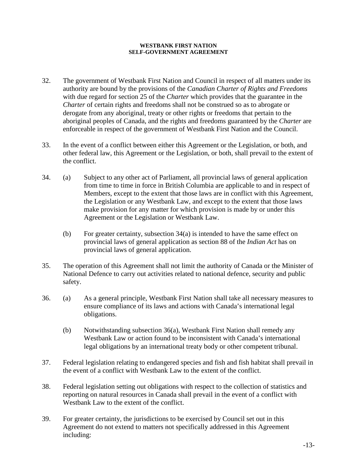- 32. The government of Westbank First Nation and Council in respect of all matters under its authority are bound by the provisions of the *Canadian Charter of Rights and Freedoms* with due regard for section 25 of the *Charter* which provides that the guarantee in the *Charter* of certain rights and freedoms shall not be construed so as to abrogate or derogate from any aboriginal, treaty or other rights or freedoms that pertain to the aboriginal peoples of Canada, and the rights and freedoms guaranteed by the *Charter* are enforceable in respect of the government of Westbank First Nation and the Council.
- 33. In the event of a conflict between either this Agreement or the Legislation, or both, and other federal law, this Agreement or the Legislation, or both, shall prevail to the extent of the conflict.
- 34. (a) Subject to any other act of Parliament, all provincial laws of general application from time to time in force in British Columbia are applicable to and in respect of Members, except to the extent that those laws are in conflict with this Agreement, the Legislation or any Westbank Law, and except to the extent that those laws make provision for any matter for which provision is made by or under this Agreement or the Legislation or Westbank Law.
	- (b) For greater certainty, subsection 34(a) is intended to have the same effect on provincial laws of general application as section 88 of the *Indian Act* has on provincial laws of general application.
- 35. The operation of this Agreement shall not limit the authority of Canada or the Minister of National Defence to carry out activities related to national defence, security and public safety.
- 36. (a) As a general principle, Westbank First Nation shall take all necessary measures to ensure compliance of its laws and actions with Canada's international legal obligations.
	- (b) Notwithstanding subsection 36(a), Westbank First Nation shall remedy any Westbank Law or action found to be inconsistent with Canada's international legal obligations by an international treaty body or other competent tribunal.
- 37. Federal legislation relating to endangered species and fish and fish habitat shall prevail in the event of a conflict with Westbank Law to the extent of the conflict.
- 38. Federal legislation setting out obligations with respect to the collection of statistics and reporting on natural resources in Canada shall prevail in the event of a conflict with Westbank Law to the extent of the conflict.
- 39. For greater certainty, the jurisdictions to be exercised by Council set out in this Agreement do not extend to matters not specifically addressed in this Agreement including: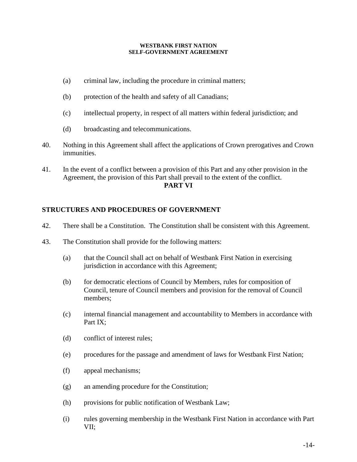- (a) criminal law, including the procedure in criminal matters;
- (b) protection of the health and safety of all Canadians;
- (c) intellectual property, in respect of all matters within federal jurisdiction; and
- (d) broadcasting and telecommunications.
- 40. Nothing in this Agreement shall affect the applications of Crown prerogatives and Crown immunities.
- 41. In the event of a conflict between a provision of this Part and any other provision in the Agreement, the provision of this Part shall prevail to the extent of the conflict. **PART VI**

## **STRUCTURES AND PROCEDURES OF GOVERNMENT**

- 42. There shall be a Constitution. The Constitution shall be consistent with this Agreement.
- 43. The Constitution shall provide for the following matters:
	- (a) that the Council shall act on behalf of Westbank First Nation in exercising jurisdiction in accordance with this Agreement;
	- (b) for democratic elections of Council by Members, rules for composition of Council, tenure of Council members and provision for the removal of Council members;
	- (c) internal financial management and accountability to Members in accordance with Part IX;
	- (d) conflict of interest rules;
	- (e) procedures for the passage and amendment of laws for Westbank First Nation;
	- (f) appeal mechanisms;
	- (g) an amending procedure for the Constitution;
	- (h) provisions for public notification of Westbank Law;
	- (i) rules governing membership in the Westbank First Nation in accordance with Part VII;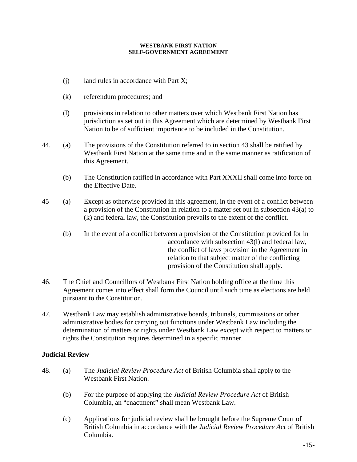- (j) land rules in accordance with Part X;
- (k) referendum procedures; and
- (l) provisions in relation to other matters over which Westbank First Nation has jurisdiction as set out in this Agreement which are determined by Westbank First Nation to be of sufficient importance to be included in the Constitution.
- 44. (a) The provisions of the Constitution referred to in section 43 shall be ratified by Westbank First Nation at the same time and in the same manner as ratification of this Agreement.
	- (b) The Constitution ratified in accordance with Part XXXII shall come into force on the Effective Date.
- 45 (a) Except as otherwise provided in this agreement, in the event of a conflict between a provision of the Constitution in relation to a matter set out in subsection 43(a) to (k) and federal law, the Constitution prevails to the extent of the conflict.
	- (b) In the event of a conflict between a provision of the Constitution provided for in accordance with subsection 43(l) and federal law, the conflict of laws provision in the Agreement in relation to that subject matter of the conflicting provision of the Constitution shall apply.
- 46. The Chief and Councillors of Westbank First Nation holding office at the time this Agreement comes into effect shall form the Council until such time as elections are held pursuant to the Constitution.
- 47. Westbank Law may establish administrative boards, tribunals, commissions or other administrative bodies for carrying out functions under Westbank Law including the determination of matters or rights under Westbank Law except with respect to matters or rights the Constitution requires determined in a specific manner.

## **Judicial Review**

- 48. (a) The *Judicial Review Procedure Act* of British Columbia shall apply to the Westbank First Nation.
	- (b) For the purpose of applying the *Judicial Review Procedure Act* of British Columbia, an "enactment" shall mean Westbank Law.
	- (c) Applications for judicial review shall be brought before the Supreme Court of British Columbia in accordance with the *Judicial Review Procedure Act* of British Columbia.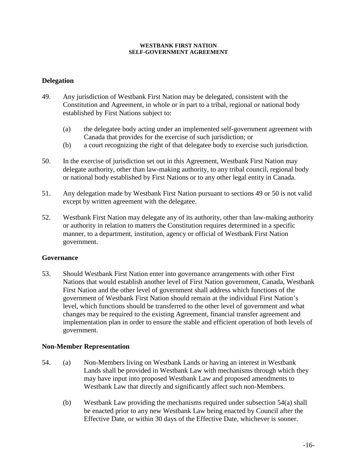## **Delegation**

- 49. Any jurisdiction of Westbank First Nation may be delegated, consistent with the Constitution and Agreement, in whole or in part to a tribal, regional or national body established by First Nations subject to:
	- (a) the delegatee body acting under an implemented self-government agreement with Canada that provides for the exercise of such jurisdiction; or
	- (b) a court recognizing the right of that delegatee body to exercise such jurisdiction.
- 50. In the exercise of jurisdiction set out in this Agreement, Westbank First Nation may delegate authority, other than law-making authority, to any tribal council, regional body or national body established by First Nations or to any other legal entity in Canada.
- 51. Any delegation made by Westbank First Nation pursuant to sections 49 or 50 is not valid except by written agreement with the delegatee.
- 52. Westbank First Nation may delegate any of its authority, other than law-making authority or authority in relation to matters the Constitution requires determined in a specific manner, to a department, institution, agency or official of Westbank First Nation government.

### **Governance**

53. Should Westbank First Nation enter into governance arrangements with other First Nations that would establish another level of First Nation government, Canada, Westbank First Nation and the other level of government shall address which functions of the government of Westbank First Nation should remain at the individual First Nation's level, which functions should be transferred to the other level of government and what changes may be required to the existing Agreement, financial transfer agreement and implementation plan in order to ensure the stable and efficient operation of both levels of government.

### **Non-Member Representation**

- 54. (a) Non-Members living on Westbank Lands or having an interest in Westbank Lands shall be provided in Westbank Law with mechanisms through which they may have input into proposed Westbank Law and proposed amendments to Westbank Law that directly and significantly affect such non-Members.
	- (b) Westbank Law providing the mechanisms required under subsection 54(a) shall be enacted prior to any new Westbank Law being enacted by Council after the Effective Date, or within 30 days of the Effective Date, whichever is sooner.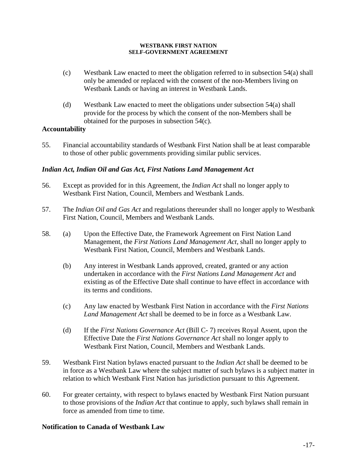- (c) Westbank Law enacted to meet the obligation referred to in subsection 54(a) shall only be amended or replaced with the consent of the non-Members living on Westbank Lands or having an interest in Westbank Lands.
- (d) Westbank Law enacted to meet the obligations under subsection 54(a) shall provide for the process by which the consent of the non-Members shall be obtained for the purposes in subsection 54(c).

## **Accountability**

55. Financial accountability standards of Westbank First Nation shall be at least comparable to those of other public governments providing similar public services.

## *Indian Act, Indian Oil and Gas Act, First Nations Land Management Act*

- 56. Except as provided for in this Agreement, the *Indian Act* shall no longer apply to Westbank First Nation, Council, Members and Westbank Lands.
- 57. The *Indian Oil and Gas Act* and regulations thereunder shall no longer apply to Westbank First Nation, Council, Members and Westbank Lands.
- 58. (a) Upon the Effective Date, the Framework Agreement on First Nation Land Management, the *First Nations Land Management Act,* shall no longer apply to Westbank First Nation, Council, Members and Westbank Lands.
	- (b) Any interest in Westbank Lands approved, created, granted or any action undertaken in accordance with the *First Nations Land Management Act* and existing as of the Effective Date shall continue to have effect in accordance with its terms and conditions.
	- (c) Any law enacted by Westbank First Nation in accordance with the *First Nations Land Management Act* shall be deemed to be in force as a Westbank Law.
	- (d) If the *First Nations Governance Act* (Bill C- 7) receives Royal Assent, upon the Effective Date the *First Nations Governance Act* shall no longer apply to Westbank First Nation, Council, Members and Westbank Lands.
- 59. Westbank First Nation bylaws enacted pursuant to the *Indian Act* shall be deemed to be in force as a Westbank Law where the subject matter of such bylaws is a subject matter in relation to which Westbank First Nation has jurisdiction pursuant to this Agreement.
- 60. For greater certainty, with respect to bylaws enacted by Westbank First Nation pursuant to those provisions of the *Indian Act* that continue to apply, such bylaws shall remain in force as amended from time to time.

## **Notification to Canada of Westbank Law**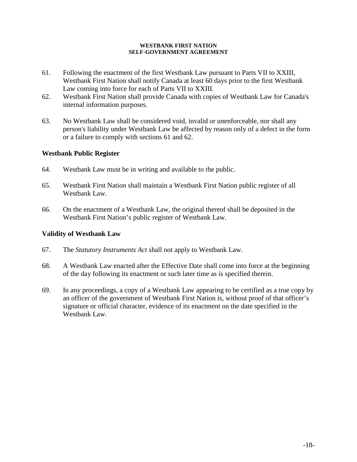- 61. Following the enactment of the first Westbank Law pursuant to Parts VII to XXIII, Westbank First Nation shall notify Canada at least 60 days prior to the first Westbank Law coming into force for each of Parts VII to XXIII.
- 62. Westbank First Nation shall provide Canada with copies of Westbank Law for Canada's internal information purposes.
- 63. No Westbank Law shall be considered void, invalid or unenforceable, nor shall any person's liability under Westbank Law be affected by reason only of a defect in the form or a failure to comply with sections 61 and 62.

## **Westbank Public Register**

- 64. Westbank Law must be in writing and available to the public.
- 65. Westbank First Nation shall maintain a Westbank First Nation public register of all Westbank Law.
- 66. On the enactment of a Westbank Law, the original thereof shall be deposited in the Westbank First Nation's public register of Westbank Law.

## **Validity of Westbank Law**

- 67. The *Statutory Instruments Act* shall not apply to Westbank Law.
- 68. A Westbank Law enacted after the Effective Date shall come into force at the beginning of the day following its enactment or such later time as is specified therein.
- 69. In any proceedings, a copy of a Westbank Law appearing to be certified as a true copy by an officer of the government of Westbank First Nation is, without proof of that officer's signature or official character, evidence of its enactment on the date specified in the Westbank Law.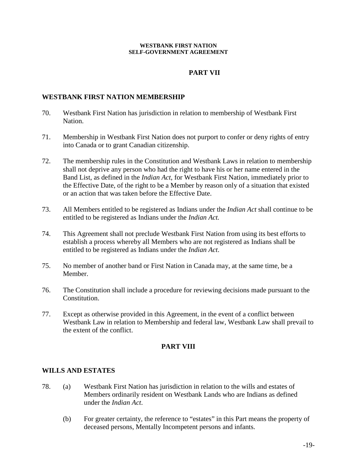## **PART VII**

## **WESTBANK FIRST NATION MEMBERSHIP**

- 70. Westbank First Nation has jurisdiction in relation to membership of Westbank First Nation.
- 71. Membership in Westbank First Nation does not purport to confer or deny rights of entry into Canada or to grant Canadian citizenship.
- 72. The membership rules in the Constitution and Westbank Laws in relation to membership shall not deprive any person who had the right to have his or her name entered in the Band List, as defined in the *Indian Act*, for Westbank First Nation, immediately prior to the Effective Date, of the right to be a Member by reason only of a situation that existed or an action that was taken before the Effective Date.
- 73. All Members entitled to be registered as Indians under the *Indian Act* shall continue to be entitled to be registered as Indians under the *Indian Act.*
- 74. This Agreement shall not preclude Westbank First Nation from using its best efforts to establish a process whereby all Members who are not registered as Indians shall be entitled to be registered as Indians under the *Indian Act*.
- 75. No member of another band or First Nation in Canada may, at the same time, be a Member.
- 76. The Constitution shall include a procedure for reviewing decisions made pursuant to the Constitution.
- 77. Except as otherwise provided in this Agreement, in the event of a conflict between Westbank Law in relation to Membership and federal law, Westbank Law shall prevail to the extent of the conflict.

## **PART VIII**

### **WILLS AND ESTATES**

- 78. (a) Westbank First Nation has jurisdiction in relation to the wills and estates of Members ordinarily resident on Westbank Lands who are Indians as defined under the *Indian Act*.
	- (b) For greater certainty, the reference to "estates" in this Part means the property of deceased persons, Mentally Incompetent persons and infants.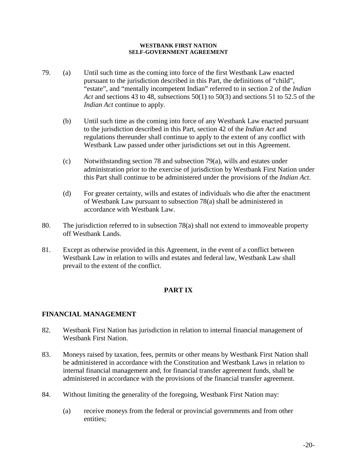- 79. (a) Until such time as the coming into force of the first Westbank Law enacted pursuant to the jurisdiction described in this Part, the definitions of "child", "estate", and "mentally incompetent Indian" referred to in section 2 of the *Indian Act* and sections 43 to 48, subsections 50(1) to 50(3) and sections 51 to 52.5 of the *Indian Act* continue to apply.
	- (b) Until such time as the coming into force of any Westbank Law enacted pursuant to the jurisdiction described in this Part, section 42 of the *Indian Act* and regulations thereunder shall continue to apply to the extent of any conflict with Westbank Law passed under other jurisdictions set out in this Agreement.
	- (c) Notwithstanding section 78 and subsection 79(a), wills and estates under administration prior to the exercise of jurisdiction by Westbank First Nation under this Part shall continue to be administered under the provisions of the *Indian Act*.
	- (d) For greater certainty, wills and estates of individuals who die after the enactment of Westbank Law pursuant to subsection 78(a) shall be administered in accordance with Westbank Law.
- 80. The jurisdiction referred to in subsection 78(a) shall not extend to immoveable property off Westbank Lands.
- 81. Except as otherwise provided in this Agreement, in the event of a conflict between Westbank Law in relation to wills and estates and federal law, Westbank Law shall prevail to the extent of the conflict.

## **PART IX**

## **FINANCIAL MANAGEMENT**

- 82. Westbank First Nation has jurisdiction in relation to internal financial management of Westbank First Nation.
- 83. Moneys raised by taxation, fees, permits or other means by Westbank First Nation shall be administered in accordance with the Constitution and Westbank Laws in relation to internal financial management and, for financial transfer agreement funds, shall be administered in accordance with the provisions of the financial transfer agreement.
- 84. Without limiting the generality of the foregoing, Westbank First Nation may:
	- (a) receive moneys from the federal or provincial governments and from other entities;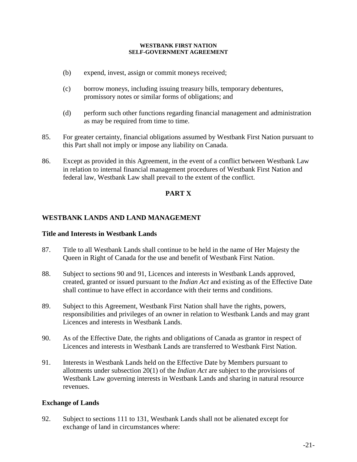- (b) expend, invest, assign or commit moneys received;
- (c) borrow moneys, including issuing treasury bills, temporary debentures, promissory notes or similar forms of obligations; and
- (d) perform such other functions regarding financial management and administration as may be required from time to time.
- 85. For greater certainty, financial obligations assumed by Westbank First Nation pursuant to this Part shall not imply or impose any liability on Canada.
- 86. Except as provided in this Agreement, in the event of a conflict between Westbank Law in relation to internal financial management procedures of Westbank First Nation and federal law, Westbank Law shall prevail to the extent of the conflict.

## **PART X**

## **WESTBANK LANDS AND LAND MANAGEMENT**

## **Title and Interests in Westbank Lands**

- 87. Title to all Westbank Lands shall continue to be held in the name of Her Majesty the Queen in Right of Canada for the use and benefit of Westbank First Nation.
- 88. Subject to sections 90 and 91, Licences and interests in Westbank Lands approved, created, granted or issued pursuant to the *Indian Act* and existing as of the Effective Date shall continue to have effect in accordance with their terms and conditions.
- 89. Subject to this Agreement, Westbank First Nation shall have the rights, powers, responsibilities and privileges of an owner in relation to Westbank Lands and may grant Licences and interests in Westbank Lands.
- 90. As of the Effective Date, the rights and obligations of Canada as grantor in respect of Licences and interests in Westbank Lands are transferred to Westbank First Nation.
- 91. Interests in Westbank Lands held on the Effective Date by Members pursuant to allotments under subsection 20(1) of the *Indian Act* are subject to the provisions of Westbank Law governing interests in Westbank Lands and sharing in natural resource revenues.

## **Exchange of Lands**

92. Subject to sections 111 to 131, Westbank Lands shall not be alienated except for exchange of land in circumstances where: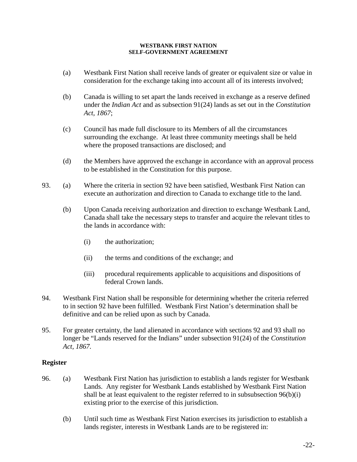- (a) Westbank First Nation shall receive lands of greater or equivalent size or value in consideration for the exchange taking into account all of its interests involved;
- (b) Canada is willing to set apart the lands received in exchange as a reserve defined under the *Indian Act* and as subsection 91(24) lands as set out in the *Constitution Act, 1867*;
- (c) Council has made full disclosure to its Members of all the circumstances surrounding the exchange. At least three community meetings shall be held where the proposed transactions are disclosed; and
- (d) the Members have approved the exchange in accordance with an approval process to be established in the Constitution for this purpose.
- 93. (a) Where the criteria in section 92 have been satisfied, Westbank First Nation can execute an authorization and direction to Canada to exchange title to the land.
	- (b) Upon Canada receiving authorization and direction to exchange Westbank Land, Canada shall take the necessary steps to transfer and acquire the relevant titles to the lands in accordance with:
		- (i) the authorization;
		- (ii) the terms and conditions of the exchange; and
		- (iii) procedural requirements applicable to acquisitions and dispositions of federal Crown lands.
- 94. Westbank First Nation shall be responsible for determining whether the criteria referred to in section 92 have been fulfilled. Westbank First Nation's determination shall be definitive and can be relied upon as such by Canada.
- 95. For greater certainty, the land alienated in accordance with sections 92 and 93 shall no longer be "Lands reserved for the Indians" under subsection 91(24) of the *Constitution Act, 1867.*

## **Register**

- 96. (a) Westbank First Nation has jurisdiction to establish a lands register for Westbank Lands. Any register for Westbank Lands established by Westbank First Nation shall be at least equivalent to the register referred to in subsubsection 96(b)(i) existing prior to the exercise of this jurisdiction.
	- (b) Until such time as Westbank First Nation exercises its jurisdiction to establish a lands register, interests in Westbank Lands are to be registered in: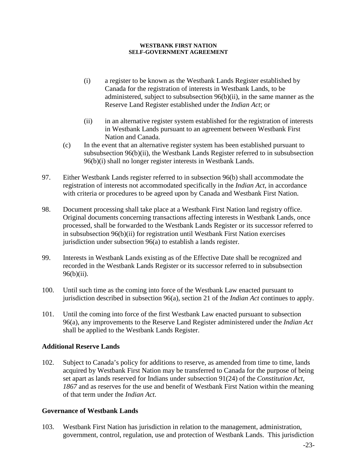- (i) a register to be known as the Westbank Lands Register established by Canada for the registration of interests in Westbank Lands, to be administered, subject to subsubsection 96(b)(ii), in the same manner as the Reserve Land Register established under the *Indian Act*; or
- (ii) in an alternative register system established for the registration of interests in Westbank Lands pursuant to an agreement between Westbank First Nation and Canada.
- (c) In the event that an alternative register system has been established pursuant to subsubsection 96(b)(ii), the Westbank Lands Register referred to in subsubsection 96(b)(i) shall no longer register interests in Westbank Lands.
- 97. Either Westbank Lands register referred to in subsection 96(b) shall accommodate the registration of interests not accommodated specifically in the *Indian Act,* in accordance with criteria or procedures to be agreed upon by Canada and Westbank First Nation.
- 98. Document processing shall take place at a Westbank First Nation land registry office. Original documents concerning transactions affecting interests in Westbank Lands, once processed, shall be forwarded to the Westbank Lands Register or its successor referred to in subsubsection 96(b)(ii) for registration until Westbank First Nation exercises jurisdiction under subsection 96(a) to establish a lands register.
- 99. Interests in Westbank Lands existing as of the Effective Date shall be recognized and recorded in the Westbank Lands Register or its successor referred to in subsubsection 96(b)(ii).
- 100. Until such time as the coming into force of the Westbank Law enacted pursuant to jurisdiction described in subsection 96(a), section 21 of the *Indian Act* continues to apply.
- 101. Until the coming into force of the first Westbank Law enacted pursuant to subsection 96(a), any improvements to the Reserve Land Register administered under the *Indian Act* shall be applied to the Westbank Lands Register.

## **Additional Reserve Lands**

102. Subject to Canada's policy for additions to reserve, as amended from time to time, lands acquired by Westbank First Nation may be transferred to Canada for the purpose of being set apart as lands reserved for Indians under subsection 91(24) of the *Constitution Act, 1867* and as reserves for the use and benefit of Westbank First Nation within the meaning of that term under the *Indian Act*.

## **Governance of Westbank Lands**

103. Westbank First Nation has jurisdiction in relation to the management, administration, government, control, regulation, use and protection of Westbank Lands. This jurisdiction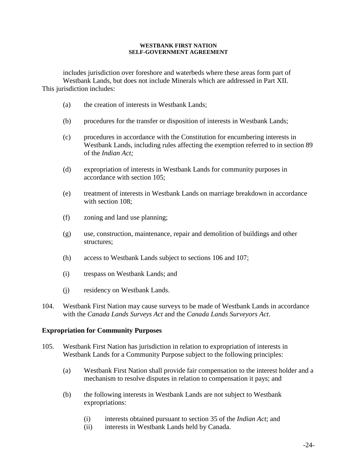includes jurisdiction over foreshore and waterbeds where these areas form part of Westbank Lands, but does not include Minerals which are addressed in Part XII. This jurisdiction includes:

- (a) the creation of interests in Westbank Lands;
- (b) procedures for the transfer or disposition of interests in Westbank Lands;
- (c) procedures in accordance with the Constitution for encumbering interests in Westbank Lands, including rules affecting the exemption referred to in section 89 of the *Indian Act;*
- (d) expropriation of interests in Westbank Lands for community purposes in accordance with section 105;
- (e) treatment of interests in Westbank Lands on marriage breakdown in accordance with section 108:
- (f) zoning and land use planning;
- (g) use, construction, maintenance, repair and demolition of buildings and other structures;
- (h) access to Westbank Lands subject to sections 106 and 107;
- (i) trespass on Westbank Lands; and
- (j) residency on Westbank Lands.
- 104. Westbank First Nation may cause surveys to be made of Westbank Lands in accordance with the *Canada Lands Surveys Act* and the *Canada Lands Surveyors Act*.

## **Expropriation for Community Purposes**

- 105. Westbank First Nation has jurisdiction in relation to expropriation of interests in Westbank Lands for a Community Purpose subject to the following principles:
	- (a) Westbank First Nation shall provide fair compensation to the interest holder and a mechanism to resolve disputes in relation to compensation it pays; and
	- (b) the following interests in Westbank Lands are not subject to Westbank expropriations:
		- (i) interests obtained pursuant to section 35 of the *Indian Act*; and
		- (ii) interests in Westbank Lands held by Canada.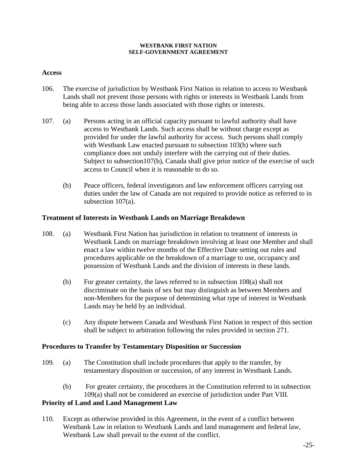## **Access**

- 106. The exercise of jurisdiction by Westbank First Nation in relation to access to Westbank Lands shall not prevent those persons with rights or interests in Westbank Lands from being able to access those lands associated with those rights or interests.
- 107. (a) Persons acting in an official capacity pursuant to lawful authority shall have access to Westbank Lands. Such access shall be without charge except as provided for under the lawful authority for access. Such persons shall comply with Westbank Law enacted pursuant to subsection 103(h) where such compliance does not unduly interfere with the carrying out of their duties. Subject to subsection107(b), Canada shall give prior notice of the exercise of such access to Council when it is reasonable to do so.
	- (b) Peace officers, federal investigators and law enforcement officers carrying out duties under the law of Canada are not required to provide notice as referred to in subsection 107(a).

## **Treatment of Interests in Westbank Lands on Marriage Breakdown**

- 108. (a) Westbank First Nation has jurisdiction in relation to treatment of interests in Westbank Lands on marriage breakdown involving at least one Member and shall enact a law within twelve months of the Effective Date setting out rules and procedures applicable on the breakdown of a marriage to use, occupancy and possession of Westbank Lands and the division of interests in these lands.
	- (b) For greater certainty, the laws referred to in subsection 108(a) shall not discriminate on the basis of sex but may distinguish as between Members and non-Members for the purpose of determining what type of interest in Westbank Lands may be held by an individual.
	- (c) Any dispute between Canada and Westbank First Nation in respect of this section shall be subject to arbitration following the rules provided in section 271.

### **Procedures to Transfer by Testamentary Disposition or Succession**

- 109. (a) The Constitution shall include procedures that apply to the transfer, by testamentary disposition or succession, of any interest in Westbank Lands.
	- (b) For greater certainty, the procedures in the Constitution referred to in subsection 109(a) shall not be considered an exercise of jurisdiction under Part VIII.

## **Priority of Land and Land Management Law**

110. Except as otherwise provided in this Agreement, in the event of a conflict between Westbank Law in relation to Westbank Lands and land management and federal law, Westbank Law shall prevail to the extent of the conflict.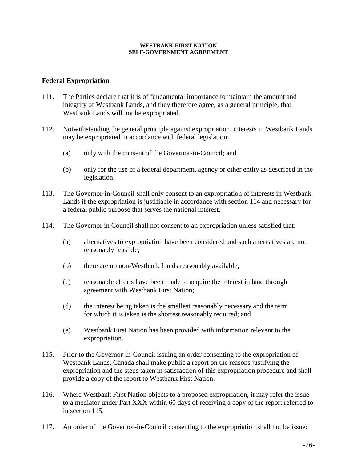### **Federal Expropriation**

- 111. The Parties declare that it is of fundamental importance to maintain the amount and integrity of Westbank Lands, and they therefore agree, as a general principle, that Westbank Lands will not be expropriated.
- 112. Notwithstanding the general principle against expropriation, interests in Westbank Lands may be expropriated in accordance with federal legislation:
	- (a) only with the consent of the Governor-in-Council; and
	- (b) only for the use of a federal department, agency or other entity as described in the legislation.
- 113. The Governor-in-Council shall only consent to an expropriation of interests in Westbank Lands if the expropriation is justifiable in accordance with section 114 and necessary for a federal public purpose that serves the national interest.
- 114. The Governor in Council shall not consent to an expropriation unless satisfied that:
	- (a) alternatives to expropriation have been considered and such alternatives are not reasonably feasible;
	- (b) there are no non-Westbank Lands reasonably available;
	- (c) reasonable efforts have been made to acquire the interest in land through agreement with Westbank First Nation;
	- (d) the interest being taken is the smallest reasonably necessary and the term for which it is taken is the shortest reasonably required; and
	- (e) Westbank First Nation has been provided with information relevant to the expropriation.
- 115. Prior to the Governor-in-Council issuing an order consenting to the expropriation of Westbank Lands, Canada shall make public a report on the reasons justifying the expropriation and the steps taken in satisfaction of this expropriation procedure and shall provide a copy of the report to Westbank First Nation.
- 116. Where Westbank First Nation objects to a proposed expropriation, it may refer the issue to a mediator under Part XXX within 60 days of receiving a copy of the report referred to in section 115.
- 117. An order of the Governor-in-Council consenting to the expropriation shall not be issued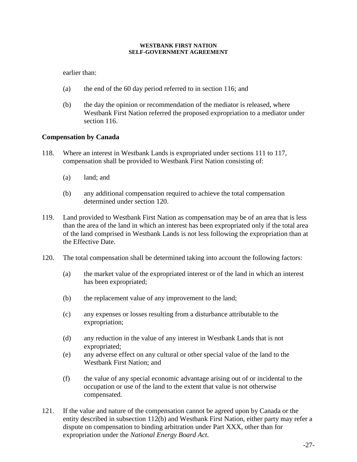earlier than:

- (a) the end of the 60 day period referred to in section 116; and
- (b) the day the opinion or recommendation of the mediator is released, where Westbank First Nation referred the proposed expropriation to a mediator under section 116.

## **Compensation by Canada**

- 118. Where an interest in Westbank Lands is expropriated under sections 111 to 117, compensation shall be provided to Westbank First Nation consisting of:
	- (a) land; and
	- (b) any additional compensation required to achieve the total compensation determined under section 120.
- 119. Land provided to Westbank First Nation as compensation may be of an area that is less than the area of the land in which an interest has been expropriated only if the total area of the land comprised in Westbank Lands is not less following the expropriation than at the Effective Date.
- 120. The total compensation shall be determined taking into account the following factors:
	- (a) the market value of the expropriated interest or of the land in which an interest has been expropriated;
	- (b) the replacement value of any improvement to the land;
	- (c) any expenses or losses resulting from a disturbance attributable to the expropriation;
	- (d) any reduction in the value of any interest in Westbank Lands that is not expropriated;
	- (e) any adverse effect on any cultural or other special value of the land to the Westbank First Nation; and
	- (f) the value of any special economic advantage arising out of or incidental to the occupation or use of the land to the extent that value is not otherwise compensated.
- 121. If the value and nature of the compensation cannot be agreed upon by Canada or the entity described in subsection 112(b) and Westbank First Nation, either party may refer a dispute on compensation to binding arbitration under Part XXX, other than for expropriation under the *National Energy Board Act*.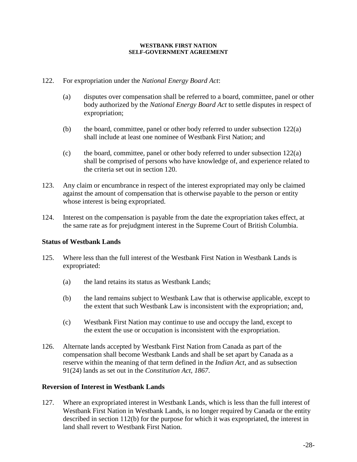## 122. For expropriation under the *National Energy Board Act*:

- (a) disputes over compensation shall be referred to a board, committee, panel or other body authorized by the *National Energy Board Act* to settle disputes in respect of expropriation;
- (b) the board, committee, panel or other body referred to under subsection 122(a) shall include at least one nominee of Westbank First Nation; and
- (c) the board, committee, panel or other body referred to under subsection  $122(a)$ shall be comprised of persons who have knowledge of, and experience related to the criteria set out in section 120.
- 123. Any claim or encumbrance in respect of the interest expropriated may only be claimed against the amount of compensation that is otherwise payable to the person or entity whose interest is being expropriated.
- 124. Interest on the compensation is payable from the date the expropriation takes effect, at the same rate as for prejudgment interest in the Supreme Court of British Columbia.

## **Status of Westbank Lands**

- 125. Where less than the full interest of the Westbank First Nation in Westbank Lands is expropriated:
	- (a) the land retains its status as Westbank Lands;
	- (b) the land remains subject to Westbank Law that is otherwise applicable, except to the extent that such Westbank Law is inconsistent with the expropriation; and,
	- (c) Westbank First Nation may continue to use and occupy the land, except to the extent the use or occupation is inconsistent with the expropriation.
- 126. Alternate lands accepted by Westbank First Nation from Canada as part of the compensation shall become Westbank Lands and shall be set apart by Canada as a reserve within the meaning of that term defined in the *Indian Act,* and as subsection 91(24) lands as set out in the *Constitution Act, 1867*.

### **Reversion of Interest in Westbank Lands**

127. Where an expropriated interest in Westbank Lands, which is less than the full interest of Westbank First Nation in Westbank Lands, is no longer required by Canada or the entity described in section 112(b) for the purpose for which it was expropriated, the interest in land shall revert to Westbank First Nation.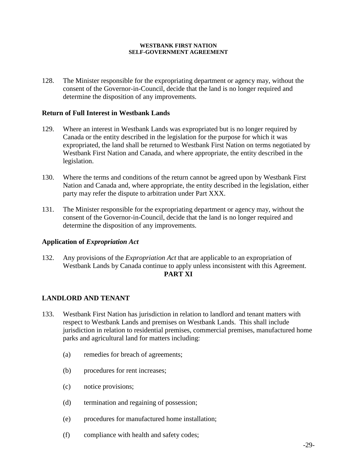128. The Minister responsible for the expropriating department or agency may, without the consent of the Governor-in-Council, decide that the land is no longer required and determine the disposition of any improvements.

### **Return of Full Interest in Westbank Lands**

- 129. Where an interest in Westbank Lands was expropriated but is no longer required by Canada or the entity described in the legislation for the purpose for which it was expropriated, the land shall be returned to Westbank First Nation on terms negotiated by Westbank First Nation and Canada, and where appropriate, the entity described in the legislation.
- 130. Where the terms and conditions of the return cannot be agreed upon by Westbank First Nation and Canada and, where appropriate, the entity described in the legislation, either party may refer the dispute to arbitration under Part XXX.
- 131. The Minister responsible for the expropriating department or agency may, without the consent of the Governor-in-Council, decide that the land is no longer required and determine the disposition of any improvements.

## **Application of** *Expropriation Act*

132. Any provisions of the *Expropriation Act* that are applicable to an expropriation of Westbank Lands by Canada continue to apply unless inconsistent with this Agreement. **PART XI**

## **LANDLORD AND TENANT**

- 133. Westbank First Nation has jurisdiction in relation to landlord and tenant matters with respect to Westbank Lands and premises on Westbank Lands. This shall include jurisdiction in relation to residential premises, commercial premises, manufactured home parks and agricultural land for matters including:
	- (a) remedies for breach of agreements;
	- (b) procedures for rent increases;
	- (c) notice provisions;
	- (d) termination and regaining of possession;
	- (e) procedures for manufactured home installation;
	- (f) compliance with health and safety codes;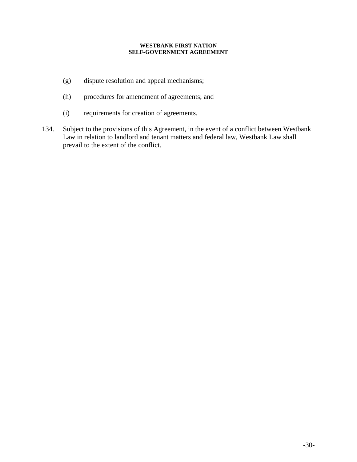- (g) dispute resolution and appeal mechanisms;
- (h) procedures for amendment of agreements; and
- (i) requirements for creation of agreements.
- 134. Subject to the provisions of this Agreement, in the event of a conflict between Westbank Law in relation to landlord and tenant matters and federal law, Westbank Law shall prevail to the extent of the conflict.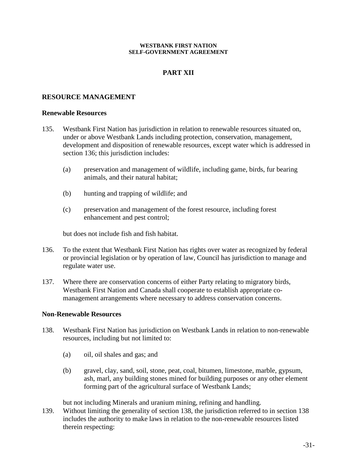## **PART XII**

## **RESOURCE MANAGEMENT**

### **Renewable Resources**

- 135. Westbank First Nation has jurisdiction in relation to renewable resources situated on, under or above Westbank Lands including protection, conservation, management, development and disposition of renewable resources, except water which is addressed in section 136; this jurisdiction includes:
	- (a) preservation and management of wildlife, including game, birds, fur bearing animals, and their natural habitat;
	- (b) hunting and trapping of wildlife; and
	- (c) preservation and management of the forest resource, including forest enhancement and pest control;

but does not include fish and fish habitat.

- 136. To the extent that Westbank First Nation has rights over water as recognized by federal or provincial legislation or by operation of law, Council has jurisdiction to manage and regulate water use.
- 137. Where there are conservation concerns of either Party relating to migratory birds, Westbank First Nation and Canada shall cooperate to establish appropriate comanagement arrangements where necessary to address conservation concerns.

### **Non-Renewable Resources**

- 138. Westbank First Nation has jurisdiction on Westbank Lands in relation to non-renewable resources, including but not limited to:
	- (a) oil, oil shales and gas; and
	- (b) gravel, clay, sand, soil, stone, peat, coal, bitumen, limestone, marble, gypsum, ash, marl, any building stones mined for building purposes or any other element forming part of the agricultural surface of Westbank Lands;

but not including Minerals and uranium mining, refining and handling.

139. Without limiting the generality of section 138, the jurisdiction referred to in section 138 includes the authority to make laws in relation to the non-renewable resources listed therein respecting: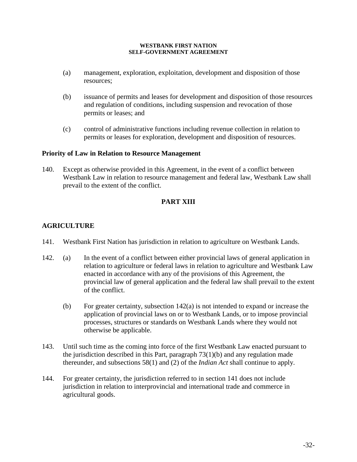- (a) management, exploration, exploitation, development and disposition of those resources;
- (b) issuance of permits and leases for development and disposition of those resources and regulation of conditions, including suspension and revocation of those permits or leases; and
- (c) control of administrative functions including revenue collection in relation to permits or leases for exploration, development and disposition of resources.

## **Priority of Law in Relation to Resource Management**

140. Except as otherwise provided in this Agreement, in the event of a conflict between Westbank Law in relation to resource management and federal law, Westbank Law shall prevail to the extent of the conflict.

## **PART XIII**

## **AGRICULTURE**

- 141. Westbank First Nation has jurisdiction in relation to agriculture on Westbank Lands.
- 142. (a) In the event of a conflict between either provincial laws of general application in relation to agriculture or federal laws in relation to agriculture and Westbank Law enacted in accordance with any of the provisions of this Agreement, the provincial law of general application and the federal law shall prevail to the extent of the conflict.
	- (b) For greater certainty, subsection  $142(a)$  is not intended to expand or increase the application of provincial laws on or to Westbank Lands, or to impose provincial processes, structures or standards on Westbank Lands where they would not otherwise be applicable.
- 143. Until such time as the coming into force of the first Westbank Law enacted pursuant to the jurisdiction described in this Part, paragraph 73(1)(b) and any regulation made thereunder, and subsections 58(1) and (2) of the *Indian Act* shall continue to apply.
- 144. For greater certainty, the jurisdiction referred to in section 141 does not include jurisdiction in relation to interprovincial and international trade and commerce in agricultural goods.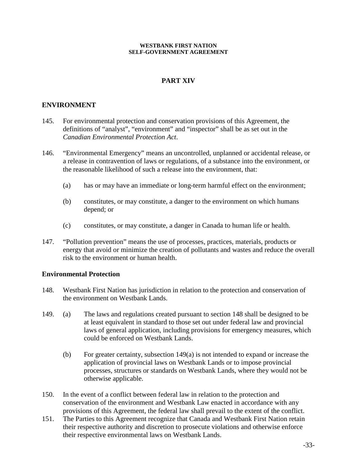## **PART XIV**

## **ENVIRONMENT**

- 145. For environmental protection and conservation provisions of this Agreement, the definitions of "analyst", "environment" and "inspector" shall be as set out in the *Canadian Environmental Protection Act*.
- 146. "Environmental Emergency" means an uncontrolled, unplanned or accidental release, or a release in contravention of laws or regulations, of a substance into the environment, or the reasonable likelihood of such a release into the environment, that:
	- (a) has or may have an immediate or long-term harmful effect on the environment;
	- (b) constitutes, or may constitute, a danger to the environment on which humans depend; or
	- (c) constitutes, or may constitute, a danger in Canada to human life or health.
- 147. "Pollution prevention" means the use of processes, practices, materials, products or energy that avoid or minimize the creation of pollutants and wastes and reduce the overall risk to the environment or human health.

### **Environmental Protection**

- 148. Westbank First Nation has jurisdiction in relation to the protection and conservation of the environment on Westbank Lands.
- 149. (a) The laws and regulations created pursuant to section 148 shall be designed to be at least equivalent in standard to those set out under federal law and provincial laws of general application, including provisions for emergency measures, which could be enforced on Westbank Lands.
	- (b) For greater certainty, subsection 149(a) is not intended to expand or increase the application of provincial laws on Westbank Lands or to impose provincial processes, structures or standards on Westbank Lands, where they would not be otherwise applicable.
- 150. In the event of a conflict between federal law in relation to the protection and conservation of the environment and Westbank Law enacted in accordance with any provisions of this Agreement, the federal law shall prevail to the extent of the conflict.
- 151. The Parties to this Agreement recognize that Canada and Westbank First Nation retain their respective authority and discretion to prosecute violations and otherwise enforce their respective environmental laws on Westbank Lands.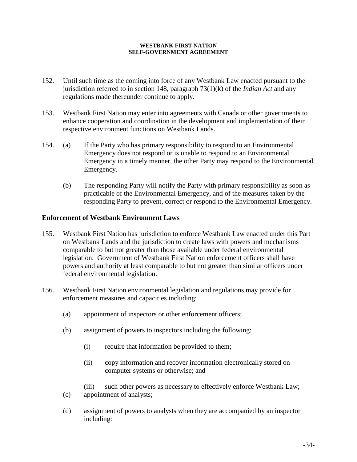- 152. Until such time as the coming into force of any Westbank Law enacted pursuant to the jurisdiction referred to in section 148, paragraph 73(1)(k) of the *Indian Act* and any regulations made thereunder continue to apply.
- 153. Westbank First Nation may enter into agreements with Canada or other governments to enhance cooperation and coordination in the development and implementation of their respective environment functions on Westbank Lands.
- 154. (a) If the Party who has primary responsibility to respond to an Environmental Emergency does not respond or is unable to respond to an Environmental Emergency in a timely manner, the other Party may respond to the Environmental Emergency.
	- (b) The responding Party will notify the Party with primary responsibility as soon as practicable of the Environmental Emergency, and of the measures taken by the responding Party to prevent, correct or respond to the Environmental Emergency.

## **Enforcement of Westbank Environment Laws**

- 155. Westbank First Nation has jurisdiction to enforce Westbank Law enacted under this Part on Westbank Lands and the jurisdiction to create laws with powers and mechanisms comparable to but not greater than those available under federal environmental legislation. Government of Westbank First Nation enforcement officers shall have powers and authority at least comparable to but not greater than similar officers under federal environmental legislation.
- 156. Westbank First Nation environmental legislation and regulations may provide for enforcement measures and capacities including:
	- (a) appointment of inspectors or other enforcement officers;
	- (b) assignment of powers to inspectors including the following:
		- (i) require that information be provided to them;
		- (ii) copy information and recover information electronically stored on computer systems or otherwise; and
	- (iii) such other powers as necessary to effectively enforce Westbank Law; (c) appointment of analysts;
	- (d) assignment of powers to analysts when they are accompanied by an inspector including: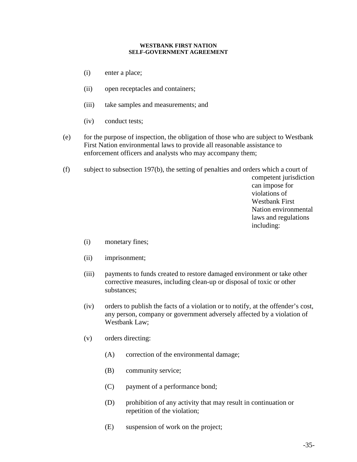- (i) enter a place;
- (ii) open receptacles and containers;
- (iii) take samples and measurements; and
- (iv) conduct tests;
- (e) for the purpose of inspection, the obligation of those who are subject to Westbank First Nation environmental laws to provide all reasonable assistance to enforcement officers and analysts who may accompany them;
- (f) subject to subsection 197(b), the setting of penalties and orders which a court of

competent jurisdiction can impose for violations of Westbank First Nation environmental laws and regulations including:

- (i) monetary fines;
- (ii) imprisonment;
- (iii) payments to funds created to restore damaged environment or take other corrective measures, including clean-up or disposal of toxic or other substances;
- (iv) orders to publish the facts of a violation or to notify, at the offender's cost, any person, company or government adversely affected by a violation of Westbank Law;
- (v) orders directing:
	- (A) correction of the environmental damage;
	- (B) community service;
	- (C) payment of a performance bond;
	- (D) prohibition of any activity that may result in continuation or repetition of the violation;
	- (E) suspension of work on the project;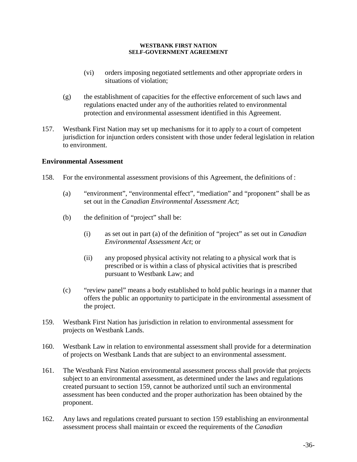- (vi) orders imposing negotiated settlements and other appropriate orders in situations of violation;
- (g) the establishment of capacities for the effective enforcement of such laws and regulations enacted under any of the authorities related to environmental protection and environmental assessment identified in this Agreement.
- 157. Westbank First Nation may set up mechanisms for it to apply to a court of competent jurisdiction for injunction orders consistent with those under federal legislation in relation to environment.

## **Environmental Assessment**

- 158. For the environmental assessment provisions of this Agreement, the definitions of :
	- (a) "environment", "environmental effect", "mediation" and "proponent" shall be as set out in the *Canadian Environmental Assessment Act*;
	- (b) the definition of "project" shall be:
		- (i) as set out in part (a) of the definition of "project" as set out in *Canadian Environmental Assessment Act*; or
		- (ii) any proposed physical activity not relating to a physical work that is prescribed or is within a class of physical activities that is prescribed pursuant to Westbank Law; and
	- (c) "review panel" means a body established to hold public hearings in a manner that offers the public an opportunity to participate in the environmental assessment of the project.
- 159. Westbank First Nation has jurisdiction in relation to environmental assessment for projects on Westbank Lands.
- 160. Westbank Law in relation to environmental assessment shall provide for a determination of projects on Westbank Lands that are subject to an environmental assessment.
- 161. The Westbank First Nation environmental assessment process shall provide that projects subject to an environmental assessment, as determined under the laws and regulations created pursuant to section 159, cannot be authorized until such an environmental assessment has been conducted and the proper authorization has been obtained by the proponent.
- 162. Any laws and regulations created pursuant to section 159 establishing an environmental assessment process shall maintain or exceed the requirements of the *Canadian*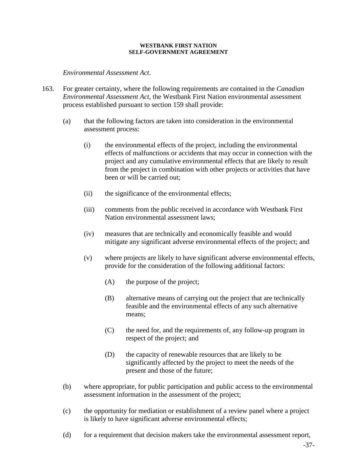*Environmental Assessment Act*.

- 163. For greater certainty, where the following requirements are contained in the *Canadian Environmental Assessment Act*, the Westbank First Nation environmental assessment process established pursuant to section 159 shall provide:
	- (a) that the following factors are taken into consideration in the environmental assessment process:
		- (i) the environmental effects of the project, including the environmental effects of malfunctions or accidents that may occur in connection with the project and any cumulative environmental effects that are likely to result from the project in combination with other projects or activities that have been or will be carried out;
		- (ii) the significance of the environmental effects;
		- (iii) comments from the public received in accordance with Westbank First Nation environmental assessment laws;
		- (iv) measures that are technically and economically feasible and would mitigate any significant adverse environmental effects of the project; and
		- (v) where projects are likely to have significant adverse environmental effects, provide for the consideration of the following additional factors:
			- (A) the purpose of the project;
			- (B) alternative means of carrying out the project that are technically feasible and the environmental effects of any such alternative means;
			- (C) the need for, and the requirements of, any follow-up program in respect of the project; and
			- (D) the capacity of renewable resources that are likely to be significantly affected by the project to meet the needs of the present and those of the future;
	- (b) where appropriate, for public participation and public access to the environmental assessment information in the assessment of the project;
	- (c) the opportunity for mediation or establishment of a review panel where a project is likely to have significant adverse environmental effects;
	- (d) for a requirement that decision makers take the environmental assessment report,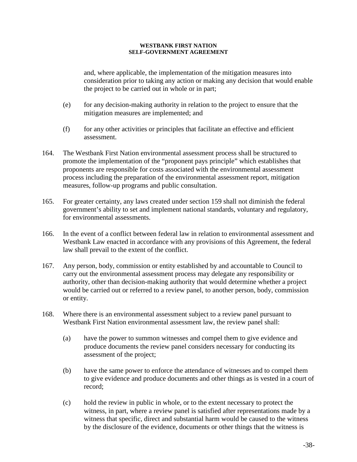and, where applicable, the implementation of the mitigation measures into consideration prior to taking any action or making any decision that would enable the project to be carried out in whole or in part;

- (e) for any decision-making authority in relation to the project to ensure that the mitigation measures are implemented; and
- (f) for any other activities or principles that facilitate an effective and efficient assessment.
- 164. The Westbank First Nation environmental assessment process shall be structured to promote the implementation of the "proponent pays principle" which establishes that proponents are responsible for costs associated with the environmental assessment process including the preparation of the environmental assessment report, mitigation measures, follow-up programs and public consultation.
- 165. For greater certainty, any laws created under section 159 shall not diminish the federal government's ability to set and implement national standards, voluntary and regulatory, for environmental assessments.
- 166. In the event of a conflict between federal law in relation to environmental assessment and Westbank Law enacted in accordance with any provisions of this Agreement, the federal law shall prevail to the extent of the conflict.
- 167. Any person, body, commission or entity established by and accountable to Council to carry out the environmental assessment process may delegate any responsibility or authority, other than decision-making authority that would determine whether a project would be carried out or referred to a review panel, to another person, body, commission or entity.
- 168. Where there is an environmental assessment subject to a review panel pursuant to Westbank First Nation environmental assessment law, the review panel shall:
	- (a) have the power to summon witnesses and compel them to give evidence and produce documents the review panel considers necessary for conducting its assessment of the project;
	- (b) have the same power to enforce the attendance of witnesses and to compel them to give evidence and produce documents and other things as is vested in a court of record;
	- (c) hold the review in public in whole, or to the extent necessary to protect the witness, in part, where a review panel is satisfied after representations made by a witness that specific, direct and substantial harm would be caused to the witness by the disclosure of the evidence, documents or other things that the witness is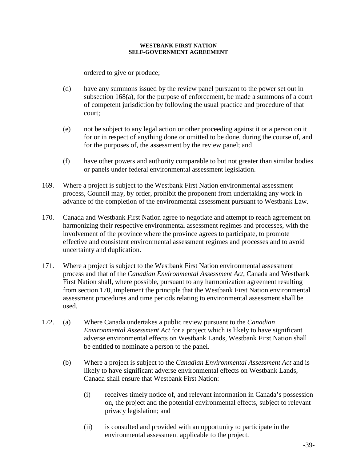ordered to give or produce;

- (d) have any summons issued by the review panel pursuant to the power set out in subsection 168(a), for the purpose of enforcement, be made a summons of a court of competent jurisdiction by following the usual practice and procedure of that court;
- (e) not be subject to any legal action or other proceeding against it or a person on it for or in respect of anything done or omitted to be done, during the course of, and for the purposes of, the assessment by the review panel; and
- (f) have other powers and authority comparable to but not greater than similar bodies or panels under federal environmental assessment legislation.
- 169. Where a project is subject to the Westbank First Nation environmental assessment process, Council may, by order, prohibit the proponent from undertaking any work in advance of the completion of the environmental assessment pursuant to Westbank Law.
- 170. Canada and Westbank First Nation agree to negotiate and attempt to reach agreement on harmonizing their respective environmental assessment regimes and processes, with the involvement of the province where the province agrees to participate, to promote effective and consistent environmental assessment regimes and processes and to avoid uncertainty and duplication.
- 171. Where a project is subject to the Westbank First Nation environmental assessment process and that of the *Canadian Environmental Assessment Act*, Canada and Westbank First Nation shall, where possible, pursuant to any harmonization agreement resulting from section 170, implement the principle that the Westbank First Nation environmental assessment procedures and time periods relating to environmental assessment shall be used.
- 172. (a) Where Canada undertakes a public review pursuant to the *Canadian Environmental Assessment Act* for a project which is likely to have significant adverse environmental effects on Westbank Lands, Westbank First Nation shall be entitled to nominate a person to the panel.
	- (b) Where a project is subject to the *Canadian Environmental Assessment Act* and is likely to have significant adverse environmental effects on Westbank Lands, Canada shall ensure that Westbank First Nation:
		- (i) receives timely notice of, and relevant information in Canada's possession on, the project and the potential environmental effects, subject to relevant privacy legislation; and
		- (ii) is consulted and provided with an opportunity to participate in the environmental assessment applicable to the project.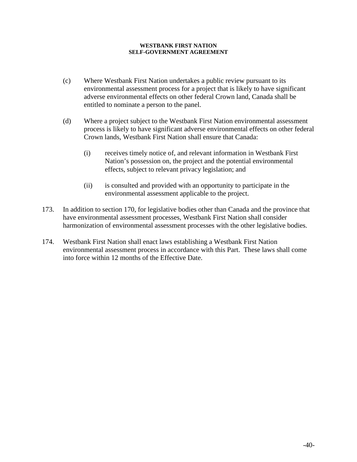- (c) Where Westbank First Nation undertakes a public review pursuant to its environmental assessment process for a project that is likely to have significant adverse environmental effects on other federal Crown land, Canada shall be entitled to nominate a person to the panel.
- (d) Where a project subject to the Westbank First Nation environmental assessment process is likely to have significant adverse environmental effects on other federal Crown lands, Westbank First Nation shall ensure that Canada:
	- (i) receives timely notice of, and relevant information in Westbank First Nation's possession on, the project and the potential environmental effects, subject to relevant privacy legislation; and
	- (ii) is consulted and provided with an opportunity to participate in the environmental assessment applicable to the project.
- 173. In addition to section 170, for legislative bodies other than Canada and the province that have environmental assessment processes, Westbank First Nation shall consider harmonization of environmental assessment processes with the other legislative bodies.
- 174. Westbank First Nation shall enact laws establishing a Westbank First Nation environmental assessment process in accordance with this Part. These laws shall come into force within 12 months of the Effective Date.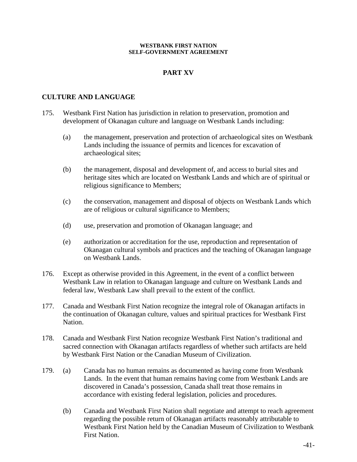# **PART XV**

## **CULTURE AND LANGUAGE**

- 175. Westbank First Nation has jurisdiction in relation to preservation, promotion and development of Okanagan culture and language on Westbank Lands including:
	- (a) the management, preservation and protection of archaeological sites on Westbank Lands including the issuance of permits and licences for excavation of archaeological sites;
	- (b) the management, disposal and development of, and access to burial sites and heritage sites which are located on Westbank Lands and which are of spiritual or religious significance to Members;
	- (c) the conservation, management and disposal of objects on Westbank Lands which are of religious or cultural significance to Members;
	- (d) use, preservation and promotion of Okanagan language; and
	- (e) authorization or accreditation for the use, reproduction and representation of Okanagan cultural symbols and practices and the teaching of Okanagan language on Westbank Lands.
- 176. Except as otherwise provided in this Agreement, in the event of a conflict between Westbank Law in relation to Okanagan language and culture on Westbank Lands and federal law, Westbank Law shall prevail to the extent of the conflict.
- 177. Canada and Westbank First Nation recognize the integral role of Okanagan artifacts in the continuation of Okanagan culture, values and spiritual practices for Westbank First Nation.
- 178. Canada and Westbank First Nation recognize Westbank First Nation's traditional and sacred connection with Okanagan artifacts regardless of whether such artifacts are held by Westbank First Nation or the Canadian Museum of Civilization.
- 179. (a) Canada has no human remains as documented as having come from Westbank Lands. In the event that human remains having come from Westbank Lands are discovered in Canada's possession, Canada shall treat those remains in accordance with existing federal legislation, policies and procedures.
	- (b) Canada and Westbank First Nation shall negotiate and attempt to reach agreement regarding the possible return of Okanagan artifacts reasonably attributable to Westbank First Nation held by the Canadian Museum of Civilization to Westbank First Nation.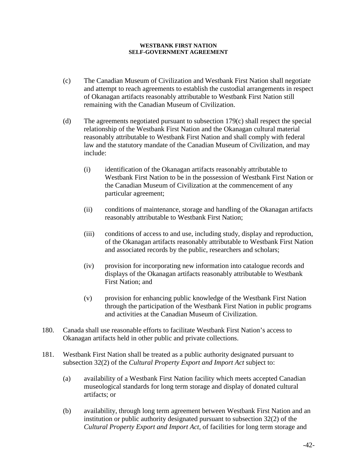- (c) The Canadian Museum of Civilization and Westbank First Nation shall negotiate and attempt to reach agreements to establish the custodial arrangements in respect of Okanagan artifacts reasonably attributable to Westbank First Nation still remaining with the Canadian Museum of Civilization.
- (d) The agreements negotiated pursuant to subsection 179(c) shall respect the special relationship of the Westbank First Nation and the Okanagan cultural material reasonably attributable to Westbank First Nation and shall comply with federal law and the statutory mandate of the Canadian Museum of Civilization, and may include:
	- (i) identification of the Okanagan artifacts reasonably attributable to Westbank First Nation to be in the possession of Westbank First Nation or the Canadian Museum of Civilization at the commencement of any particular agreement;
	- (ii) conditions of maintenance, storage and handling of the Okanagan artifacts reasonably attributable to Westbank First Nation;
	- (iii) conditions of access to and use, including study, display and reproduction, of the Okanagan artifacts reasonably attributable to Westbank First Nation and associated records by the public, researchers and scholars;
	- (iv) provision for incorporating new information into catalogue records and displays of the Okanagan artifacts reasonably attributable to Westbank First Nation; and
	- (v) provision for enhancing public knowledge of the Westbank First Nation through the participation of the Westbank First Nation in public programs and activities at the Canadian Museum of Civilization.
- 180. Canada shall use reasonable efforts to facilitate Westbank First Nation's access to Okanagan artifacts held in other public and private collections.
- 181. Westbank First Nation shall be treated as a public authority designated pursuant to subsection 32(2) of the *Cultural Property Export and Import Act* subject to:
	- (a) availability of a Westbank First Nation facility which meets accepted Canadian museological standards for long term storage and display of donated cultural artifacts; or
	- (b) availability, through long term agreement between Westbank First Nation and an institution or public authority designated pursuant to subsection 32(2) of the *Cultural Property Export and Import Act*, of facilities for long term storage and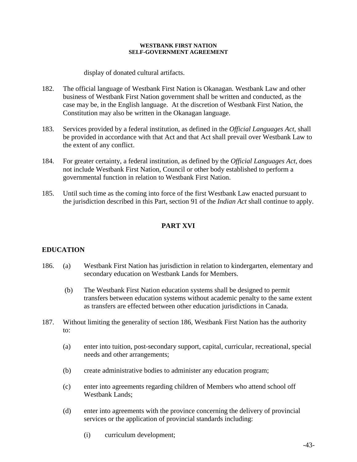display of donated cultural artifacts.

- 182. The official language of Westbank First Nation is Okanagan. Westbank Law and other business of Westbank First Nation government shall be written and conducted, as the case may be, in the English language. At the discretion of Westbank First Nation, the Constitution may also be written in the Okanagan language.
- 183. Services provided by a federal institution, as defined in the *Official Languages Act*, shall be provided in accordance with that Act and that Act shall prevail over Westbank Law to the extent of any conflict.
- 184. For greater certainty, a federal institution, as defined by the *Official Languages Act*, does not include Westbank First Nation, Council or other body established to perform a governmental function in relation to Westbank First Nation.
- 185. Until such time as the coming into force of the first Westbank Law enacted pursuant to the jurisdiction described in this Part, section 91 of the *Indian Act* shall continue to apply.

# **PART XVI**

## **EDUCATION**

- 186. (a) Westbank First Nation has jurisdiction in relation to kindergarten, elementary and secondary education on Westbank Lands for Members.
	- (b) The Westbank First Nation education systems shall be designed to permit transfers between education systems without academic penalty to the same extent as transfers are effected between other education jurisdictions in Canada.
- 187. Without limiting the generality of section 186, Westbank First Nation has the authority to:
	- (a) enter into tuition, post-secondary support, capital, curricular, recreational, special needs and other arrangements;
	- (b) create administrative bodies to administer any education program;
	- (c) enter into agreements regarding children of Members who attend school off Westbank Lands;
	- (d) enter into agreements with the province concerning the delivery of provincial services or the application of provincial standards including:
		- (i) curriculum development;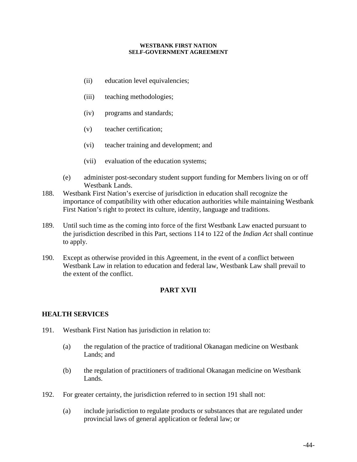- (ii) education level equivalencies;
- (iii) teaching methodologies;
- (iv) programs and standards;
- (v) teacher certification;
- (vi) teacher training and development; and
- (vii) evaluation of the education systems;
- (e) administer post-secondary student support funding for Members living on or off Westbank Lands.
- 188. Westbank First Nation's exercise of jurisdiction in education shall recognize the importance of compatibility with other education authorities while maintaining Westbank First Nation's right to protect its culture, identity, language and traditions.
- 189. Until such time as the coming into force of the first Westbank Law enacted pursuant to the jurisdiction described in this Part, sections 114 to 122 of the *Indian Act* shall continue to apply.
- 190. Except as otherwise provided in this Agreement, in the event of a conflict between Westbank Law in relation to education and federal law, Westbank Law shall prevail to the extent of the conflict.

# **PART XVII**

## **HEALTH SERVICES**

- 191. Westbank First Nation has jurisdiction in relation to:
	- (a) the regulation of the practice of traditional Okanagan medicine on Westbank Lands; and
	- (b) the regulation of practitioners of traditional Okanagan medicine on Westbank Lands.
- 192. For greater certainty, the jurisdiction referred to in section 191 shall not:
	- (a) include jurisdiction to regulate products or substances that are regulated under provincial laws of general application or federal law; or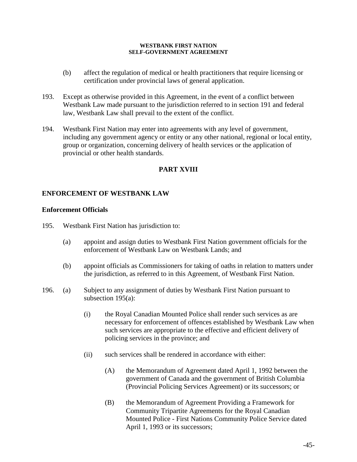- (b) affect the regulation of medical or health practitioners that require licensing or certification under provincial laws of general application.
- 193. Except as otherwise provided in this Agreement, in the event of a conflict between Westbank Law made pursuant to the jurisdiction referred to in section 191 and federal law, Westbank Law shall prevail to the extent of the conflict.
- 194. Westbank First Nation may enter into agreements with any level of government, including any government agency or entity or any other national, regional or local entity, group or organization, concerning delivery of health services or the application of provincial or other health standards.

## **PART XVIII**

## **ENFORCEMENT OF WESTBANK LAW**

### **Enforcement Officials**

- 195. Westbank First Nation has jurisdiction to:
	- (a) appoint and assign duties to Westbank First Nation government officials for the enforcement of Westbank Law on Westbank Lands; and
	- (b) appoint officials as Commissioners for taking of oaths in relation to matters under the jurisdiction, as referred to in this Agreement, of Westbank First Nation.
- 196. (a) Subject to any assignment of duties by Westbank First Nation pursuant to subsection 195(a):
	- (i) the Royal Canadian Mounted Police shall render such services as are necessary for enforcement of offences established by Westbank Law when such services are appropriate to the effective and efficient delivery of policing services in the province; and
	- (ii) such services shall be rendered in accordance with either:
		- (A) the Memorandum of Agreement dated April 1, 1992 between the government of Canada and the government of British Columbia (Provincial Policing Services Agreement) or its successors; or
		- (B) the Memorandum of Agreement Providing a Framework for Community Tripartite Agreements for the Royal Canadian Mounted Police - First Nations Community Police Service dated April 1, 1993 or its successors;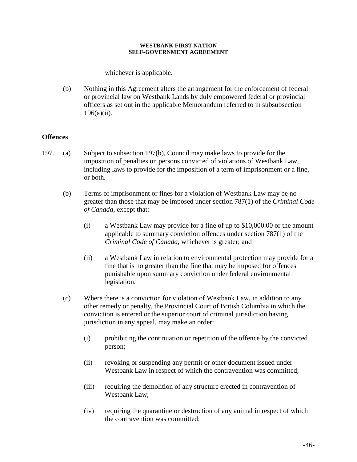whichever is applicable.

(b) Nothing in this Agreement alters the arrangement for the enforcement of federal or provincial law on Westbank Lands by duly empowered federal or provincial officers as set out in the applicable Memorandum referred to in subsubsection 196(a)(ii).

## **Offences**

- 197. (a) Subject to subsection 197(b), Council may make laws to provide for the imposition of penalties on persons convicted of violations of Westbank Law, including laws to provide for the imposition of a term of imprisonment or a fine, or both.
	- (b) Terms of imprisonment or fines for a violation of Westbank Law may be no greater than those that may be imposed under section 787(1) of the *Criminal Code of Canada*, except that:
		- (i) a Westbank Law may provide for a fine of up to \$10,000.00 or the amount applicable to summary conviction offences under section 787(1) of the *Criminal Code of Canada*, whichever is greater; and
		- (ii) a Westbank Law in relation to environmental protection may provide for a fine that is no greater than the fine that may be imposed for offences punishable upon summary conviction under federal environmental legislation.
	- (c) Where there is a conviction for violation of Westbank Law, in addition to any other remedy or penalty, the Provincial Court of British Columbia in which the conviction is entered or the superior court of criminal jurisdiction having jurisdiction in any appeal, may make an order:
		- (i) prohibiting the continuation or repetition of the offence by the convicted person;
		- (ii) revoking or suspending any permit or other document issued under Westbank Law in respect of which the contravention was committed;
		- (iii) requiring the demolition of any structure erected in contravention of Westbank Law;
		- (iv) requiring the quarantine or destruction of any animal in respect of which the contravention was committed;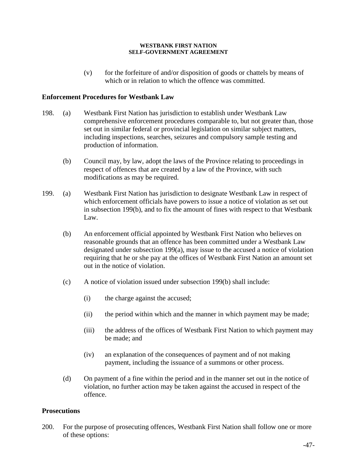(v) for the forfeiture of and/or disposition of goods or chattels by means of which or in relation to which the offence was committed.

## **Enforcement Procedures for Westbank Law**

- 198. (a) Westbank First Nation has jurisdiction to establish under Westbank Law comprehensive enforcement procedures comparable to, but not greater than, those set out in similar federal or provincial legislation on similar subject matters, including inspections, searches, seizures and compulsory sample testing and production of information.
	- (b) Council may, by law, adopt the laws of the Province relating to proceedings in respect of offences that are created by a law of the Province, with such modifications as may be required.
- 199. (a) Westbank First Nation has jurisdiction to designate Westbank Law in respect of which enforcement officials have powers to issue a notice of violation as set out in subsection 199(b), and to fix the amount of fines with respect to that Westbank Law.
	- (b) An enforcement official appointed by Westbank First Nation who believes on reasonable grounds that an offence has been committed under a Westbank Law designated under subsection 199(a), may issue to the accused a notice of violation requiring that he or she pay at the offices of Westbank First Nation an amount set out in the notice of violation.
	- (c) A notice of violation issued under subsection 199(b) shall include:
		- (i) the charge against the accused;
		- (ii) the period within which and the manner in which payment may be made;
		- (iii) the address of the offices of Westbank First Nation to which payment may be made; and
		- (iv) an explanation of the consequences of payment and of not making payment, including the issuance of a summons or other process.
	- (d) On payment of a fine within the period and in the manner set out in the notice of violation, no further action may be taken against the accused in respect of the offence.

## **Prosecutions**

200. For the purpose of prosecuting offences, Westbank First Nation shall follow one or more of these options: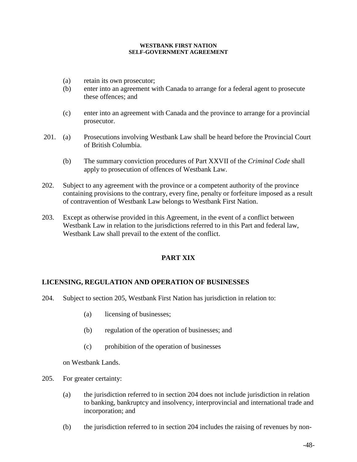- (a) retain its own prosecutor;
- (b) enter into an agreement with Canada to arrange for a federal agent to prosecute these offences; and
- (c) enter into an agreement with Canada and the province to arrange for a provincial prosecutor.
- 201. (a) Prosecutions involving Westbank Law shall be heard before the Provincial Court of British Columbia.
	- (b) The summary conviction procedures of Part XXVII of the *Criminal Code* shall apply to prosecution of offences of Westbank Law.
- 202. Subject to any agreement with the province or a competent authority of the province containing provisions to the contrary, every fine, penalty or forfeiture imposed as a result of contravention of Westbank Law belongs to Westbank First Nation.
- 203. Except as otherwise provided in this Agreement, in the event of a conflict between Westbank Law in relation to the jurisdictions referred to in this Part and federal law, Westbank Law shall prevail to the extent of the conflict.

## **PART XIX**

## **LICENSING, REGULATION AND OPERATION OF BUSINESSES**

- 204. Subject to section 205, Westbank First Nation has jurisdiction in relation to:
	- (a) licensing of businesses;
	- (b) regulation of the operation of businesses; and
	- (c) prohibition of the operation of businesses

on Westbank Lands.

- 205. For greater certainty:
	- (a) the jurisdiction referred to in section 204 does not include jurisdiction in relation to banking, bankruptcy and insolvency, interprovincial and international trade and incorporation; and
	- (b) the jurisdiction referred to in section 204 includes the raising of revenues by non-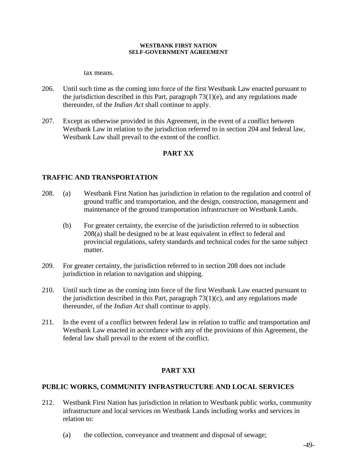tax means.

- 206. Until such time as the coming into force of the first Westbank Law enacted pursuant to the jurisdiction described in this Part, paragraph 73(1)(e), and any regulations made thereunder, of the *Indian Act* shall continue to apply.
- 207. Except as otherwise provided in this Agreement, in the event of a conflict between Westbank Law in relation to the jurisdiction referred to in section 204 and federal law, Westbank Law shall prevail to the extent of the conflict.

## **PART XX**

## **TRAFFIC AND TRANSPORTATION**

- 208. (a) Westbank First Nation has jurisdiction in relation to the regulation and control of ground traffic and transportation, and the design, construction, management and maintenance of the ground transportation infrastructure on Westbank Lands.
	- (b) For greater certainty, the exercise of the jurisdiction referred to in subsection 208(a) shall be designed to be at least equivalent in effect to federal and provincial regulations, safety standards and technical codes for the same subject matter.
- 209. For greater certainty, the jurisdiction referred to in section 208 does not include jurisdiction in relation to navigation and shipping.
- 210. Until such time as the coming into force of the first Westbank Law enacted pursuant to the jurisdiction described in this Part, paragraph  $73(1)(c)$ , and any regulations made thereunder, of the *Indian Act* shall continue to apply.
- 211. In the event of a conflict between federal law in relation to traffic and transportation and Westbank Law enacted in accordance with any of the provisions of this Agreement, the federal law shall prevail to the extent of the conflict.

# **PART XXI**

## **PUBLIC WORKS, COMMUNITY INFRASTRUCTURE AND LOCAL SERVICES**

- 212. Westbank First Nation has jurisdiction in relation to Westbank public works, community infrastructure and local services on Westbank Lands including works and services in relation to:
	- (a) the collection, conveyance and treatment and disposal of sewage;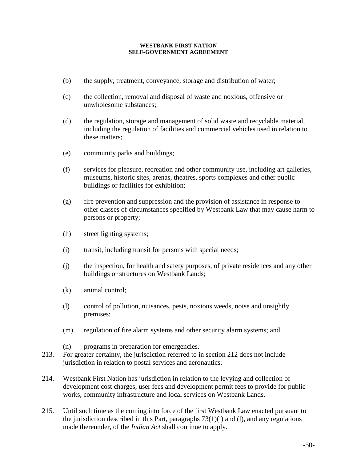- (b) the supply, treatment, conveyance, storage and distribution of water;
- (c) the collection, removal and disposal of waste and noxious, offensive or unwholesome substances;
- (d) the regulation, storage and management of solid waste and recyclable material, including the regulation of facilities and commercial vehicles used in relation to these matters;
- (e) community parks and buildings;
- (f) services for pleasure, recreation and other community use, including art galleries, museums, historic sites, arenas, theatres, sports complexes and other public buildings or facilities for exhibition;
- (g) fire prevention and suppression and the provision of assistance in response to other classes of circumstances specified by Westbank Law that may cause harm to persons or property;
- (h) street lighting systems;
- (i) transit, including transit for persons with special needs;
- (j) the inspection, for health and safety purposes, of private residences and any other buildings or structures on Westbank Lands;
- (k) animal control;
- (l) control of pollution, nuisances, pests, noxious weeds, noise and unsightly premises;
- (m) regulation of fire alarm systems and other security alarm systems; and
- (n) programs in preparation for emergencies.
- 213. For greater certainty, the jurisdiction referred to in section 212 does not include jurisdiction in relation to postal services and aeronautics.
- 214. Westbank First Nation has jurisdiction in relation to the levying and collection of development cost charges, user fees and development permit fees to provide for public works, community infrastructure and local services on Westbank Lands.
- 215. Until such time as the coming into force of the first Westbank Law enacted pursuant to the jurisdiction described in this Part, paragraphs  $73(1)(i)$  and (l), and any regulations made thereunder, of the *Indian Act* shall continue to apply.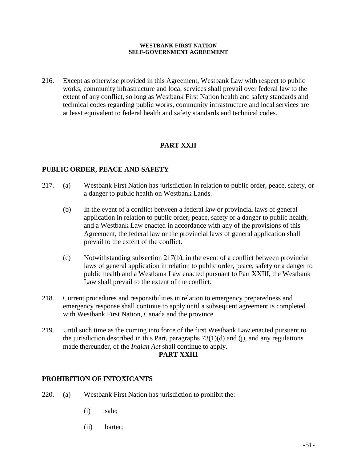216. Except as otherwise provided in this Agreement, Westbank Law with respect to public works, community infrastructure and local services shall prevail over federal law to the extent of any conflict, so long as Westbank First Nation health and safety standards and technical codes regarding public works, community infrastructure and local services are at least equivalent to federal health and safety standards and technical codes.

# **PART XXII**

## **PUBLIC ORDER, PEACE AND SAFETY**

- 217. (a) Westbank First Nation has jurisdiction in relation to public order, peace, safety, or a danger to public health on Westbank Lands.
	- (b) In the event of a conflict between a federal law or provincial laws of general application in relation to public order, peace, safety or a danger to public health, and a Westbank Law enacted in accordance with any of the provisions of this Agreement, the federal law or the provincial laws of general application shall prevail to the extent of the conflict.
	- (c) Notwithstanding subsection 217(b), in the event of a conflict between provincial laws of general application in relation to public order, peace, safety or a danger to public health and a Westbank Law enacted pursuant to Part XXIII, the Westbank Law shall prevail to the extent of the conflict.
- 218. Current procedures and responsibilities in relation to emergency preparedness and emergency response shall continue to apply until a subsequent agreement is completed with Westbank First Nation, Canada and the province.
- 219. Until such time as the coming into force of the first Westbank Law enacted pursuant to the jurisdiction described in this Part, paragraphs  $73(1)(d)$  and (j), and any regulations made thereunder, of the *Indian Act* shall continue to apply.

### **PART XXIII**

### **PROHIBITION OF INTOXICANTS**

- 220. (a) Westbank First Nation has jurisdiction to prohibit the:
	- (i) sale;
	- (ii) barter;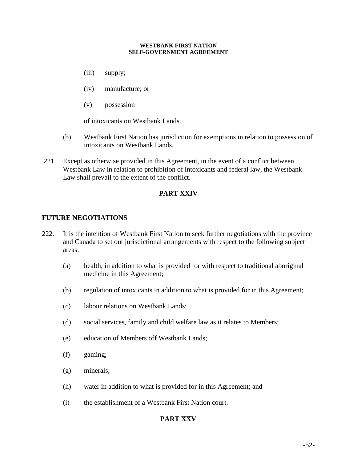- (iii) supply;
- (iv) manufacture; or
- (v) possession

of intoxicants on Westbank Lands.

- (b) Westbank First Nation has jurisdiction for exemptions in relation to possession of intoxicants on Westbank Lands.
- 221. Except as otherwise provided in this Agreement, in the event of a conflict between Westbank Law in relation to prohibition of intoxicants and federal law, the Westbank Law shall prevail to the extent of the conflict.

## **PART XXIV**

## **FUTURE NEGOTIATIONS**

- 222. It is the intention of Westbank First Nation to seek further negotiations with the province and Canada to set out jurisdictional arrangements with respect to the following subject areas:
	- (a) health, in addition to what is provided for with respect to traditional aboriginal medicine in this Agreement;
	- (b) regulation of intoxicants in addition to what is provided for in this Agreement;
	- (c) labour relations on Westbank Lands;
	- (d) social services, family and child welfare law as it relates to Members;
	- (e) education of Members off Westbank Lands;
	- (f) gaming;
	- (g) minerals;
	- (h) water in addition to what is provided for in this Agreement; and
	- (i) the establishment of a Westbank First Nation court.

## **PART XXV**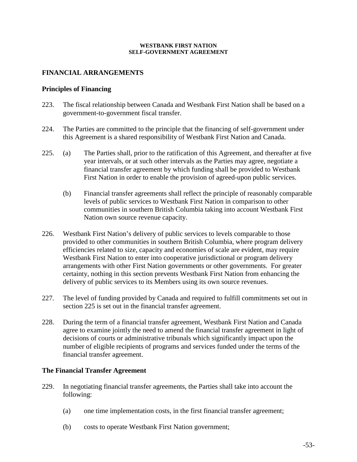### **FINANCIAL ARRANGEMENTS**

### **Principles of Financing**

- 223. The fiscal relationship between Canada and Westbank First Nation shall be based on a government-to-government fiscal transfer.
- 224. The Parties are committed to the principle that the financing of self-government under this Agreement is a shared responsibility of Westbank First Nation and Canada.
- 225. (a) The Parties shall, prior to the ratification of this Agreement, and thereafter at five year intervals, or at such other intervals as the Parties may agree, negotiate a financial transfer agreement by which funding shall be provided to Westbank First Nation in order to enable the provision of agreed-upon public services.
	- (b) Financial transfer agreements shall reflect the principle of reasonably comparable levels of public services to Westbank First Nation in comparison to other communities in southern British Columbia taking into account Westbank First Nation own source revenue capacity.
- 226. Westbank First Nation's delivery of public services to levels comparable to those provided to other communities in southern British Columbia, where program delivery efficiencies related to size, capacity and economies of scale are evident, may require Westbank First Nation to enter into cooperative jurisdictional or program delivery arrangements with other First Nation governments or other governments. For greater certainty, nothing in this section prevents Westbank First Nation from enhancing the delivery of public services to its Members using its own source revenues.
- 227. The level of funding provided by Canada and required to fulfill commitments set out in section 225 is set out in the financial transfer agreement.
- 228. During the term of a financial transfer agreement, Westbank First Nation and Canada agree to examine jointly the need to amend the financial transfer agreement in light of decisions of courts or administrative tribunals which significantly impact upon the number of eligible recipients of programs and services funded under the terms of the financial transfer agreement.

### **The Financial Transfer Agreement**

- 229. In negotiating financial transfer agreements, the Parties shall take into account the following:
	- (a) one time implementation costs, in the first financial transfer agreement;
	- (b) costs to operate Westbank First Nation government;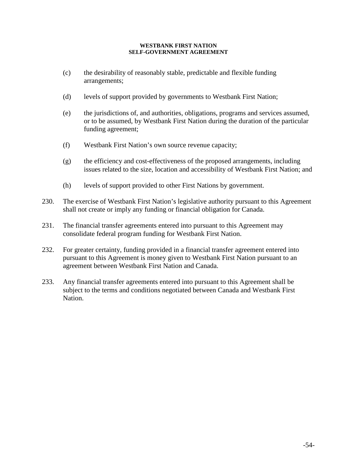- (c) the desirability of reasonably stable, predictable and flexible funding arrangements;
- (d) levels of support provided by governments to Westbank First Nation;
- (e) the jurisdictions of, and authorities, obligations, programs and services assumed, or to be assumed, by Westbank First Nation during the duration of the particular funding agreement;
- (f) Westbank First Nation's own source revenue capacity;
- $(g)$  the efficiency and cost-effectiveness of the proposed arrangements, including issues related to the size, location and accessibility of Westbank First Nation; and
- (h) levels of support provided to other First Nations by government.
- 230. The exercise of Westbank First Nation's legislative authority pursuant to this Agreement shall not create or imply any funding or financial obligation for Canada.
- 231. The financial transfer agreements entered into pursuant to this Agreement may consolidate federal program funding for Westbank First Nation.
- 232. For greater certainty, funding provided in a financial transfer agreement entered into pursuant to this Agreement is money given to Westbank First Nation pursuant to an agreement between Westbank First Nation and Canada.
- 233. Any financial transfer agreements entered into pursuant to this Agreement shall be subject to the terms and conditions negotiated between Canada and Westbank First Nation.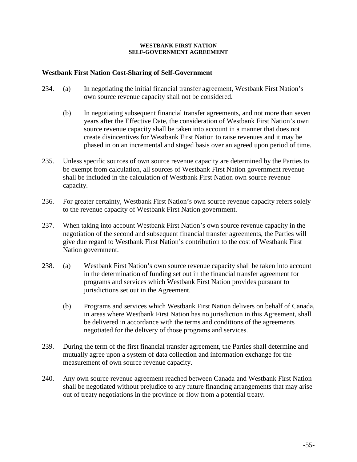## **Westbank First Nation Cost-Sharing of Self-Government**

- 234. (a) In negotiating the initial financial transfer agreement, Westbank First Nation's own source revenue capacity shall not be considered.
	- (b) In negotiating subsequent financial transfer agreements, and not more than seven years after the Effective Date, the consideration of Westbank First Nation's own source revenue capacity shall be taken into account in a manner that does not create disincentives for Westbank First Nation to raise revenues and it may be phased in on an incremental and staged basis over an agreed upon period of time.
- 235. Unless specific sources of own source revenue capacity are determined by the Parties to be exempt from calculation, all sources of Westbank First Nation government revenue shall be included in the calculation of Westbank First Nation own source revenue capacity.
- 236. For greater certainty, Westbank First Nation's own source revenue capacity refers solely to the revenue capacity of Westbank First Nation government.
- 237. When taking into account Westbank First Nation's own source revenue capacity in the negotiation of the second and subsequent financial transfer agreements, the Parties will give due regard to Westbank First Nation's contribution to the cost of Westbank First Nation government.
- 238. (a) Westbank First Nation's own source revenue capacity shall be taken into account in the determination of funding set out in the financial transfer agreement for programs and services which Westbank First Nation provides pursuant to jurisdictions set out in the Agreement.
	- (b) Programs and services which Westbank First Nation delivers on behalf of Canada, in areas where Westbank First Nation has no jurisdiction in this Agreement, shall be delivered in accordance with the terms and conditions of the agreements negotiated for the delivery of those programs and services.
- 239. During the term of the first financial transfer agreement, the Parties shall determine and mutually agree upon a system of data collection and information exchange for the measurement of own source revenue capacity.
- 240. Any own source revenue agreement reached between Canada and Westbank First Nation shall be negotiated without prejudice to any future financing arrangements that may arise out of treaty negotiations in the province or flow from a potential treaty.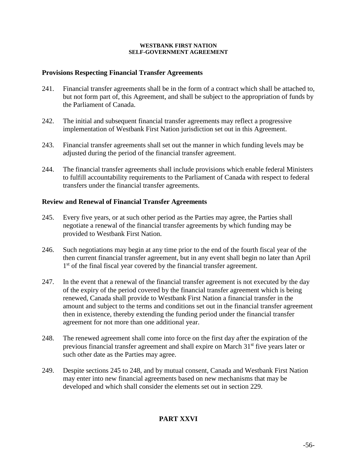## **Provisions Respecting Financial Transfer Agreements**

- 241. Financial transfer agreements shall be in the form of a contract which shall be attached to, but not form part of, this Agreement, and shall be subject to the appropriation of funds by the Parliament of Canada.
- 242. The initial and subsequent financial transfer agreements may reflect a progressive implementation of Westbank First Nation jurisdiction set out in this Agreement.
- 243. Financial transfer agreements shall set out the manner in which funding levels may be adjusted during the period of the financial transfer agreement.
- 244. The financial transfer agreements shall include provisions which enable federal Ministers to fulfill accountability requirements to the Parliament of Canada with respect to federal transfers under the financial transfer agreements.

## **Review and Renewal of Financial Transfer Agreements**

- 245. Every five years, or at such other period as the Parties may agree, the Parties shall negotiate a renewal of the financial transfer agreements by which funding may be provided to Westbank First Nation.
- 246. Such negotiations may begin at any time prior to the end of the fourth fiscal year of the then current financial transfer agreement, but in any event shall begin no later than April 1<sup>st</sup> of the final fiscal year covered by the financial transfer agreement.
- 247. In the event that a renewal of the financial transfer agreement is not executed by the day of the expiry of the period covered by the financial transfer agreement which is being renewed, Canada shall provide to Westbank First Nation a financial transfer in the amount and subject to the terms and conditions set out in the financial transfer agreement then in existence, thereby extending the funding period under the financial transfer agreement for not more than one additional year.
- 248. The renewed agreement shall come into force on the first day after the expiration of the previous financial transfer agreement and shall expire on March 31st five years later or such other date as the Parties may agree.
- 249. Despite sections 245 to 248, and by mutual consent, Canada and Westbank First Nation may enter into new financial agreements based on new mechanisms that may be developed and which shall consider the elements set out in section 229.

# **PART XXVI**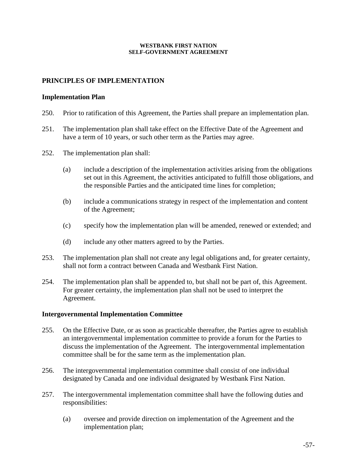## **PRINCIPLES OF IMPLEMENTATION**

#### **Implementation Plan**

- 250. Prior to ratification of this Agreement, the Parties shall prepare an implementation plan.
- 251. The implementation plan shall take effect on the Effective Date of the Agreement and have a term of 10 years, or such other term as the Parties may agree.
- 252. The implementation plan shall:
	- (a) include a description of the implementation activities arising from the obligations set out in this Agreement, the activities anticipated to fulfill those obligations, and the responsible Parties and the anticipated time lines for completion;
	- (b) include a communications strategy in respect of the implementation and content of the Agreement;
	- (c) specify how the implementation plan will be amended, renewed or extended; and
	- (d) include any other matters agreed to by the Parties.
- 253. The implementation plan shall not create any legal obligations and, for greater certainty, shall not form a contract between Canada and Westbank First Nation.
- 254. The implementation plan shall be appended to, but shall not be part of, this Agreement. For greater certainty, the implementation plan shall not be used to interpret the Agreement.

### **Intergovernmental Implementation Committee**

- 255. On the Effective Date, or as soon as practicable thereafter, the Parties agree to establish an intergovernmental implementation committee to provide a forum for the Parties to discuss the implementation of the Agreement. The intergovernmental implementation committee shall be for the same term as the implementation plan.
- 256. The intergovernmental implementation committee shall consist of one individual designated by Canada and one individual designated by Westbank First Nation.
- 257. The intergovernmental implementation committee shall have the following duties and responsibilities:
	- (a) oversee and provide direction on implementation of the Agreement and the implementation plan;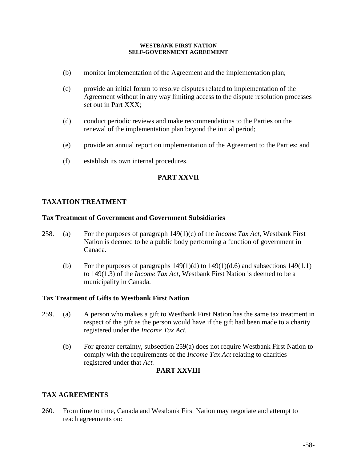- (b) monitor implementation of the Agreement and the implementation plan;
- (c) provide an initial forum to resolve disputes related to implementation of the Agreement without in any way limiting access to the dispute resolution processes set out in Part XXX;
- (d) conduct periodic reviews and make recommendations to the Parties on the renewal of the implementation plan beyond the initial period;
- (e) provide an annual report on implementation of the Agreement to the Parties; and
- (f) establish its own internal procedures.

## **PART XXVII**

## **TAXATION TREATMENT**

### **Tax Treatment of Government and Government Subsidiaries**

- 258. (a) For the purposes of paragraph 149(1)(c) of the *Income Tax Act*, Westbank First Nation is deemed to be a public body performing a function of government in Canada.
	- (b) For the purposes of paragraphs  $149(1)(d)$  to  $149(1)(d.6)$  and subsections  $149(1.1)$ to 149(1.3) of the *Income Tax Act,* Westbank First Nation is deemed to be a municipality in Canada.

### **Tax Treatment of Gifts to Westbank First Nation**

- 259. (a) A person who makes a gift to Westbank First Nation has the same tax treatment in respect of the gift as the person would have if the gift had been made to a charity registered under the *Income Tax Act.*
	- (b) For greater certainty, subsection 259(a) does not require Westbank First Nation to comply with the requirements of the *Income Tax Act* relating to charities registered under that *Act.*

## **PART XXVIII**

## **TAX AGREEMENTS**

260. From time to time, Canada and Westbank First Nation may negotiate and attempt to reach agreements on: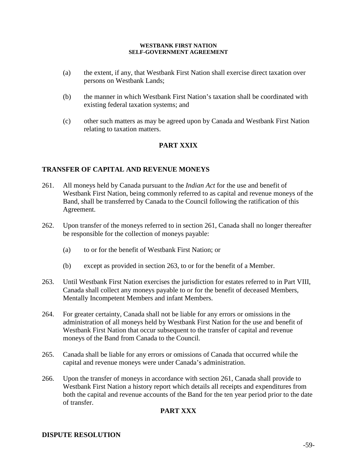- (a) the extent, if any, that Westbank First Nation shall exercise direct taxation over persons on Westbank Lands;
- (b) the manner in which Westbank First Nation's taxation shall be coordinated with existing federal taxation systems; and
- (c) other such matters as may be agreed upon by Canada and Westbank First Nation relating to taxation matters.

# **PART XXIX**

## **TRANSFER OF CAPITAL AND REVENUE MONEYS**

- 261. All moneys held by Canada pursuant to the *Indian Act* for the use and benefit of Westbank First Nation, being commonly referred to as capital and revenue moneys of the Band, shall be transferred by Canada to the Council following the ratification of this Agreement.
- 262. Upon transfer of the moneys referred to in section 261, Canada shall no longer thereafter be responsible for the collection of moneys payable:
	- (a) to or for the benefit of Westbank First Nation; or
	- (b) except as provided in section 263, to or for the benefit of a Member.
- 263. Until Westbank First Nation exercises the jurisdiction for estates referred to in Part VIII, Canada shall collect any moneys payable to or for the benefit of deceased Members, Mentally Incompetent Members and infant Members.
- 264. For greater certainty, Canada shall not be liable for any errors or omissions in the administration of all moneys held by Westbank First Nation for the use and benefit of Westbank First Nation that occur subsequent to the transfer of capital and revenue moneys of the Band from Canada to the Council.
- 265. Canada shall be liable for any errors or omissions of Canada that occurred while the capital and revenue moneys were under Canada's administration.
- 266. Upon the transfer of moneys in accordance with section 261, Canada shall provide to Westbank First Nation a history report which details all receipts and expenditures from both the capital and revenue accounts of the Band for the ten year period prior to the date of transfer.

## **PART XXX**

### **DISPUTE RESOLUTION**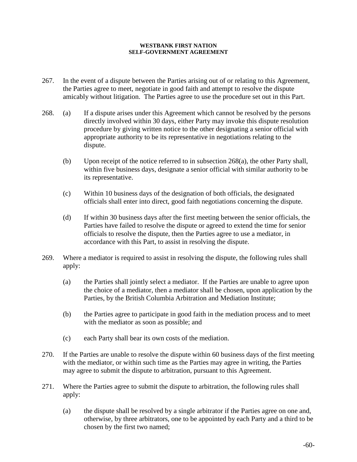- 267. In the event of a dispute between the Parties arising out of or relating to this Agreement, the Parties agree to meet, negotiate in good faith and attempt to resolve the dispute amicably without litigation. The Parties agree to use the procedure set out in this Part.
- 268. (a) If a dispute arises under this Agreement which cannot be resolved by the persons directly involved within 30 days, either Party may invoke this dispute resolution procedure by giving written notice to the other designating a senior official with appropriate authority to be its representative in negotiations relating to the dispute.
	- (b) Upon receipt of the notice referred to in subsection 268(a), the other Party shall, within five business days, designate a senior official with similar authority to be its representative.
	- (c) Within 10 business days of the designation of both officials, the designated officials shall enter into direct, good faith negotiations concerning the dispute.
	- (d) If within 30 business days after the first meeting between the senior officials, the Parties have failed to resolve the dispute or agreed to extend the time for senior officials to resolve the dispute, then the Parties agree to use a mediator, in accordance with this Part, to assist in resolving the dispute.
- 269. Where a mediator is required to assist in resolving the dispute, the following rules shall apply:
	- (a) the Parties shall jointly select a mediator. If the Parties are unable to agree upon the choice of a mediator, then a mediator shall be chosen, upon application by the Parties, by the British Columbia Arbitration and Mediation Institute;
	- (b) the Parties agree to participate in good faith in the mediation process and to meet with the mediator as soon as possible; and
	- (c) each Party shall bear its own costs of the mediation.
- 270. If the Parties are unable to resolve the dispute within 60 business days of the first meeting with the mediator, or within such time as the Parties may agree in writing, the Parties may agree to submit the dispute to arbitration, pursuant to this Agreement.
- 271. Where the Parties agree to submit the dispute to arbitration, the following rules shall apply:
	- (a) the dispute shall be resolved by a single arbitrator if the Parties agree on one and, otherwise, by three arbitrators, one to be appointed by each Party and a third to be chosen by the first two named;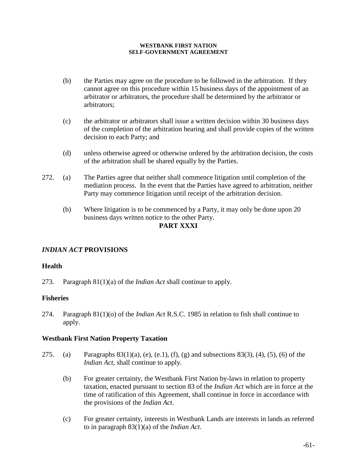- (b) the Parties may agree on the procedure to be followed in the arbitration. If they cannot agree on this procedure within 15 business days of the appointment of an arbitrator or arbitrators, the procedure shall be determined by the arbitrator or arbitrators;
- (c) the arbitrator or arbitrators shall issue a written decision within 30 business days of the completion of the arbitration hearing and shall provide copies of the written decision to each Party; and
- (d) unless otherwise agreed or otherwise ordered by the arbitration decision, the costs of the arbitration shall be shared equally by the Parties.
- 272. (a) The Parties agree that neither shall commence litigation until completion of the mediation process. In the event that the Parties have agreed to arbitration, neither Party may commence litigation until receipt of the arbitration decision.
	- (b) Where litigation is to be commenced by a Party, it may only be done upon 20 business days written notice to the other Party.

## **PART XXXI**

# *INDIAN ACT* **PROVISIONS**

## **Health**

273. Paragraph 81(1)(a) of the *Indian Act* shall continue to apply.

## **Fisheries**

274. Paragraph 81(1)(o) of the *Indian Act* R.S.C. 1985 in relation to fish shall continue to apply.

### **Westbank First Nation Property Taxation**

- 275. (a) Paragraphs  $83(1)(a)$ , (e), (e,1), (f), (g) and subsections  $83(3)$ , (4), (5), (6) of the *Indian Act,* shall continue to apply.
	- (b) For greater certainty, the Westbank First Nation by-laws in relation to property taxation, enacted pursuant to section 83 of the *Indian Act* which are in force at the time of ratification of this Agreement, shall continue in force in accordance with the provisions of the *Indian Act*.
	- (c) For greater certainty, interests in Westbank Lands are interests in lands as referred to in paragraph 83(1)(a) of the *Indian Act*.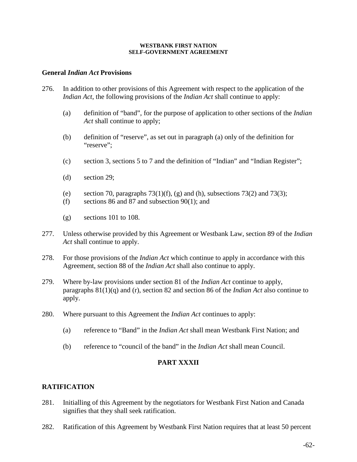### **General** *Indian Act* **Provisions**

- 276. In addition to other provisions of this Agreement with respect to the application of the *Indian Act*, the following provisions of the *Indian Act* shall continue to apply:
	- (a) definition of "band", for the purpose of application to other sections of the *Indian Act* shall continue to apply;
	- (b) definition of "reserve", as set out in paragraph (a) only of the definition for "reserve":
	- (c) section 3, sections 5 to 7 and the definition of "Indian" and "Indian Register";
	- (d) section 29;
	- (e) section 70, paragraphs  $73(1)(f)$ , (g) and (h), subsections  $73(2)$  and  $73(3)$ ;
	- (f) sections 86 and 87 and subsection  $90(1)$ ; and
	- $(g)$  sections 101 to 108.
- 277. Unless otherwise provided by this Agreement or Westbank Law, section 89 of the *Indian Act* shall continue to apply.
- 278. For those provisions of the *Indian Act* which continue to apply in accordance with this Agreement, section 88 of the *Indian Act* shall also continue to apply.
- 279. Where by-law provisions under section 81 of the *Indian Act* continue to apply, paragraphs 81(1)(q) and (r), section 82 and section 86 of the *Indian Act* also continue to apply.
- 280. Where pursuant to this Agreement the *Indian Act* continues to apply:
	- (a) reference to "Band" in the *Indian Act* shall mean Westbank First Nation; and
	- (b) reference to "council of the band" in the *Indian Act* shall mean Council.

## **PART XXXII**

## **RATIFICATION**

- 281. Initialling of this Agreement by the negotiators for Westbank First Nation and Canada signifies that they shall seek ratification.
- 282. Ratification of this Agreement by Westbank First Nation requires that at least 50 percent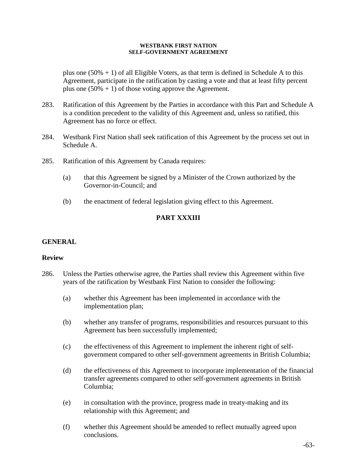plus one  $(50% + 1)$  of all Eligible Voters, as that term is defined in Schedule A to this Agreement, participate in the ratification by casting a vote and that at least fifty percent plus one  $(50\% + 1)$  of those voting approve the Agreement.

- 283. Ratification of this Agreement by the Parties in accordance with this Part and Schedule A is a condition precedent to the validity of this Agreement and, unless so ratified, this Agreement has no force or effect.
- 284. Westbank First Nation shall seek ratification of this Agreement by the process set out in Schedule A.
- 285. Ratification of this Agreement by Canada requires:
	- (a) that this Agreement be signed by a Minister of the Crown authorized by the Governor-in-Council; and
	- (b) the enactment of federal legislation giving effect to this Agreement.

# **PART XXXIII**

## **GENERAL**

### **Review**

- 286. Unless the Parties otherwise agree, the Parties shall review this Agreement within five years of the ratification by Westbank First Nation to consider the following:
	- (a) whether this Agreement has been implemented in accordance with the implementation plan;
	- (b) whether any transfer of programs, responsibilities and resources pursuant to this Agreement has been successfully implemented;
	- (c) the effectiveness of this Agreement to implement the inherent right of selfgovernment compared to other self-government agreements in British Columbia;
	- (d) the effectiveness of this Agreement to incorporate implementation of the financial transfer agreements compared to other self-government agreements in British Columbia;
	- (e) in consultation with the province, progress made in treaty-making and its relationship with this Agreement; and
	- (f) whether this Agreement should be amended to reflect mutually agreed upon conclusions.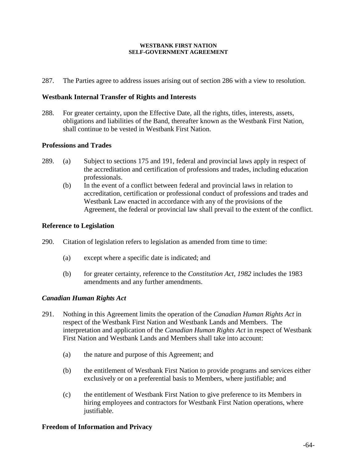287. The Parties agree to address issues arising out of section 286 with a view to resolution.

### **Westbank Internal Transfer of Rights and Interests**

288. For greater certainty, upon the Effective Date, all the rights, titles, interests, assets, obligations and liabilities of the Band, thereafter known as the Westbank First Nation, shall continue to be vested in Westbank First Nation.

### **Professions and Trades**

- 289. (a) Subject to sections 175 and 191, federal and provincial laws apply in respect of the accreditation and certification of professions and trades, including education professionals.
	- (b) In the event of a conflict between federal and provincial laws in relation to accreditation, certification or professional conduct of professions and trades and Westbank Law enacted in accordance with any of the provisions of the Agreement, the federal or provincial law shall prevail to the extent of the conflict.

### **Reference to Legislation**

- 290. Citation of legislation refers to legislation as amended from time to time:
	- (a) except where a specific date is indicated; and
	- (b) for greater certainty, reference to the *Constitution Act, 1982* includes the 1983 amendments and any further amendments.

### *Canadian Human Rights Act*

- 291. Nothing in this Agreement limits the operation of the *Canadian Human Rights Act* in respect of the Westbank First Nation and Westbank Lands and Members. The interpretation and application of the *Canadian Human Rights Act* in respect of Westbank First Nation and Westbank Lands and Members shall take into account:
	- (a) the nature and purpose of this Agreement; and
	- (b) the entitlement of Westbank First Nation to provide programs and services either exclusively or on a preferential basis to Members, where justifiable; and
	- (c) the entitlement of Westbank First Nation to give preference to its Members in hiring employees and contractors for Westbank First Nation operations, where justifiable.

### **Freedom of Information and Privacy**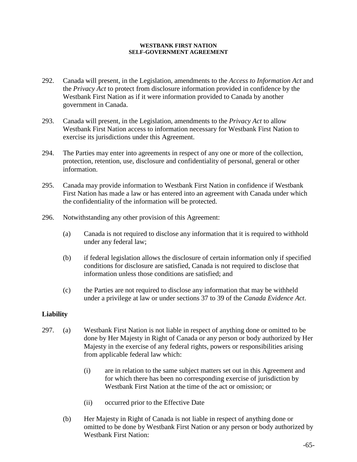- 292. Canada will present, in the Legislation, amendments to the *Access to Information Act* and the *Privacy Act* to protect from disclosure information provided in confidence by the Westbank First Nation as if it were information provided to Canada by another government in Canada.
- 293. Canada will present, in the Legislation, amendments to the *Privacy Act* to allow Westbank First Nation access to information necessary for Westbank First Nation to exercise its jurisdictions under this Agreement.
- 294. The Parties may enter into agreements in respect of any one or more of the collection, protection, retention, use, disclosure and confidentiality of personal, general or other information.
- 295. Canada may provide information to Westbank First Nation in confidence if Westbank First Nation has made a law or has entered into an agreement with Canada under which the confidentiality of the information will be protected.
- 296. Notwithstanding any other provision of this Agreement:
	- (a) Canada is not required to disclose any information that it is required to withhold under any federal law;
	- (b) if federal legislation allows the disclosure of certain information only if specified conditions for disclosure are satisfied, Canada is not required to disclose that information unless those conditions are satisfied; and
	- (c) the Parties are not required to disclose any information that may be withheld under a privilege at law or under sections 37 to 39 of the *Canada Evidence Act*.

### **Liability**

- 297. (a) Westbank First Nation is not liable in respect of anything done or omitted to be done by Her Majesty in Right of Canada or any person or body authorized by Her Majesty in the exercise of any federal rights, powers or responsibilities arising from applicable federal law which:
	- (i) are in relation to the same subject matters set out in this Agreement and for which there has been no corresponding exercise of jurisdiction by Westbank First Nation at the time of the act or omission; or
	- (ii) occurred prior to the Effective Date
	- (b) Her Majesty in Right of Canada is not liable in respect of anything done or omitted to be done by Westbank First Nation or any person or body authorized by Westbank First Nation: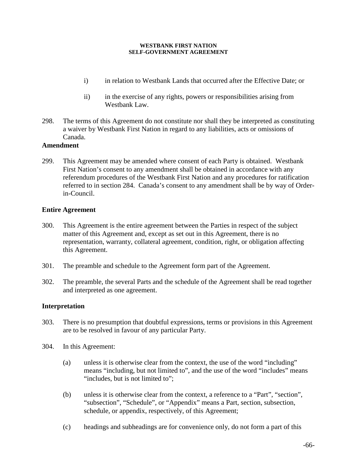- i) in relation to Westbank Lands that occurred after the Effective Date; or
- ii) in the exercise of any rights, powers or responsibilities arising from Westbank Law.
- 298. The terms of this Agreement do not constitute nor shall they be interpreted as constituting a waiver by Westbank First Nation in regard to any liabilities, acts or omissions of Canada.

### **Amendment**

299. This Agreement may be amended where consent of each Party is obtained. Westbank First Nation's consent to any amendment shall be obtained in accordance with any referendum procedures of the Westbank First Nation and any procedures for ratification referred to in section 284. Canada's consent to any amendment shall be by way of Orderin-Council.

## **Entire Agreement**

- 300. This Agreement is the entire agreement between the Parties in respect of the subject matter of this Agreement and, except as set out in this Agreement, there is no representation, warranty, collateral agreement, condition, right, or obligation affecting this Agreement.
- 301. The preamble and schedule to the Agreement form part of the Agreement.
- 302. The preamble, the several Parts and the schedule of the Agreement shall be read together and interpreted as one agreement.

## **Interpretation**

- 303. There is no presumption that doubtful expressions, terms or provisions in this Agreement are to be resolved in favour of any particular Party.
- 304. In this Agreement:
	- (a) unless it is otherwise clear from the context, the use of the word "including" means "including, but not limited to", and the use of the word "includes" means "includes, but is not limited to";
	- (b) unless it is otherwise clear from the context, a reference to a "Part", "section", "subsection", "Schedule", or "Appendix" means a Part, section, subsection, schedule, or appendix, respectively, of this Agreement;
	- (c) headings and subheadings are for convenience only, do not form a part of this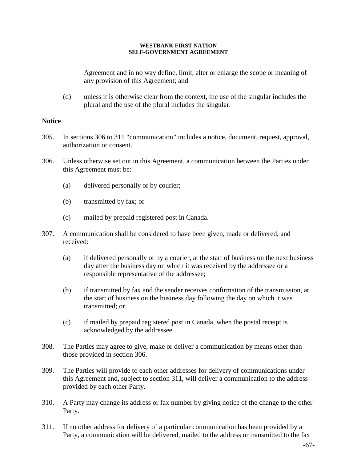Agreement and in no way define, limit, alter or enlarge the scope or meaning of any provision of this Agreement; and

(d) unless it is otherwise clear from the context, the use of the singular includes the plural and the use of the plural includes the singular.

## **Notice**

- 305. In sections 306 to 311 "communication" includes a notice, document, request, approval, authorization or consent.
- 306. Unless otherwise set out in this Agreement, a communication between the Parties under this Agreement must be:
	- (a) delivered personally or by courier;
	- (b) transmitted by fax; or
	- (c) mailed by prepaid registered post in Canada.
- 307. A communication shall be considered to have been given, made or delivered, and received:
	- (a) if delivered personally or by a courier, at the start of business on the next business day after the business day on which it was received by the addressee or a responsible representative of the addressee;
	- (b) if transmitted by fax and the sender receives confirmation of the transmission, at the start of business on the business day following the day on which it was transmitted; or
	- (c) if mailed by prepaid registered post in Canada, when the postal receipt is acknowledged by the addressee.
- 308. The Parties may agree to give, make or deliver a communication by means other than those provided in section 306.
- 309. The Parties will provide to each other addresses for delivery of communications under this Agreement and, subject to section 311, will deliver a communication to the address provided by each other Party.
- 310. A Party may change its address or fax number by giving notice of the change to the other Party.
- 311. If no other address for delivery of a particular communication has been provided by a Party, a communication will be delivered, mailed to the address or transmitted to the fax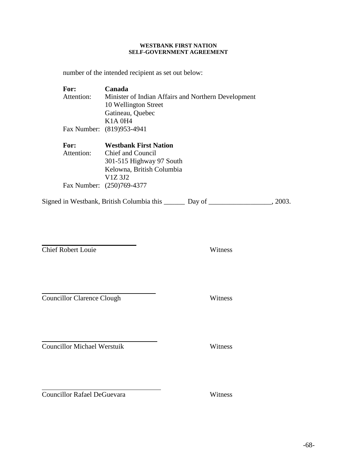number of the intended recipient as set out below:

| For:       | Canada                                              |
|------------|-----------------------------------------------------|
| Attention: | Minister of Indian Affairs and Northern Development |
|            | 10 Wellington Street                                |
|            | Gatineau, Quebec                                    |
|            | K <sub>1</sub> A 0H <sub>4</sub>                    |
|            | Fax Number: (819)953-4941                           |
|            |                                                     |
|            |                                                     |
| For:       | <b>Westbank First Nation</b>                        |
| Attention: | Chief and Council                                   |
|            | 301-515 Highway 97 South                            |
|            | Kelowna, British Columbia                           |
|            | V1Z 3J2                                             |
|            | Fax Number: (250)769-4377                           |

Signed in Westbank, British Columbia this \_\_\_\_\_\_\_ Day of \_\_\_\_\_\_\_\_\_\_\_\_\_\_\_\_, 2003.

Chief Robert Louie Witness

 $\overline{a}$ 

Councillor Clarence Clough Witness

Councillor Michael Werstuik Witness

 $\overline{a}$ Councillor Rafael DeGuevara Witness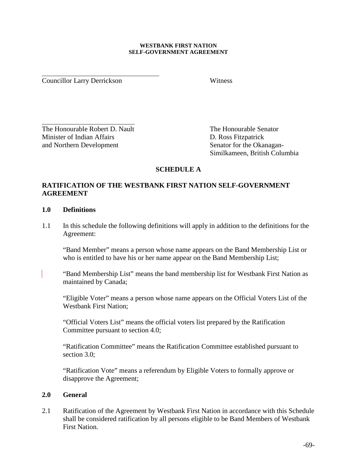Councillor Larry Derrickson Witness

 $\overline{a}$ 

 $\overline{a}$ The Honourable Robert D. Nault The Honourable Senator Minister of Indian Affairs D. Ross Fitzpatrick and Northern Development Senator for the Okanagan-

Similkameen, British Columbia

## **SCHEDULE A**

## **RATIFICATION OF THE WESTBANK FIRST NATION SELF-GOVERNMENT AGREEMENT**

## **1.0 Definitions**

1.1 In this schedule the following definitions will apply in addition to the definitions for the Agreement:

"Band Member" means a person whose name appears on the Band Membership List or who is entitled to have his or her name appear on the Band Membership List;

"Band Membership List" means the band membership list for Westbank First Nation as maintained by Canada;

"Eligible Voter" means a person whose name appears on the Official Voters List of the Westbank First Nation;

"Official Voters List" means the official voters list prepared by the Ratification Committee pursuant to section 4.0;

"Ratification Committee" means the Ratification Committee established pursuant to section 3.0:

"Ratification Vote" means a referendum by Eligible Voters to formally approve or disapprove the Agreement;

## **2.0 General**

2.1 Ratification of the Agreement by Westbank First Nation in accordance with this Schedule shall be considered ratification by all persons eligible to be Band Members of Westbank First Nation.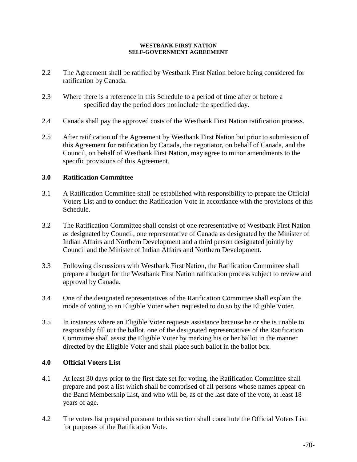- 2.2 The Agreement shall be ratified by Westbank First Nation before being considered for ratification by Canada.
- 2.3 Where there is a reference in this Schedule to a period of time after or before a specified day the period does not include the specified day.
- 2.4 Canada shall pay the approved costs of the Westbank First Nation ratification process.
- 2.5 After ratification of the Agreement by Westbank First Nation but prior to submission of this Agreement for ratification by Canada, the negotiator, on behalf of Canada, and the Council, on behalf of Westbank First Nation, may agree to minor amendments to the specific provisions of this Agreement.

## **3.0 Ratification Committee**

- 3.1 A Ratification Committee shall be established with responsibility to prepare the Official Voters List and to conduct the Ratification Vote in accordance with the provisions of this Schedule.
- 3.2 The Ratification Committee shall consist of one representative of Westbank First Nation as designated by Council, one representative of Canada as designated by the Minister of Indian Affairs and Northern Development and a third person designated jointly by Council and the Minister of Indian Affairs and Northern Development.
- 3.3 Following discussions with Westbank First Nation, the Ratification Committee shall prepare a budget for the Westbank First Nation ratification process subject to review and approval by Canada.
- 3.4 One of the designated representatives of the Ratification Committee shall explain the mode of voting to an Eligible Voter when requested to do so by the Eligible Voter.
- 3.5 In instances where an Eligible Voter requests assistance because he or she is unable to responsibly fill out the ballot, one of the designated representatives of the Ratification Committee shall assist the Eligible Voter by marking his or her ballot in the manner directed by the Eligible Voter and shall place such ballot in the ballot box.

## **4.0 Official Voters List**

- 4.1 At least 30 days prior to the first date set for voting, the Ratification Committee shall prepare and post a list which shall be comprised of all persons whose names appear on the Band Membership List, and who will be, as of the last date of the vote, at least 18 years of age.
- 4.2 The voters list prepared pursuant to this section shall constitute the Official Voters List for purposes of the Ratification Vote.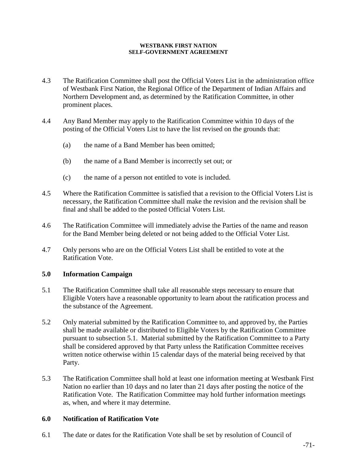### **WESTBANK FIRST NATION SELF-GOVERNMENT AGREEMENT**

- 4.3 The Ratification Committee shall post the Official Voters List in the administration office of Westbank First Nation, the Regional Office of the Department of Indian Affairs and Northern Development and, as determined by the Ratification Committee, in other prominent places.
- 4.4 Any Band Member may apply to the Ratification Committee within 10 days of the posting of the Official Voters List to have the list revised on the grounds that:
	- (a) the name of a Band Member has been omitted;
	- (b) the name of a Band Member is incorrectly set out; or
	- (c) the name of a person not entitled to vote is included.
- 4.5 Where the Ratification Committee is satisfied that a revision to the Official Voters List is necessary, the Ratification Committee shall make the revision and the revision shall be final and shall be added to the posted Official Voters List.
- 4.6 The Ratification Committee will immediately advise the Parties of the name and reason for the Band Member being deleted or not being added to the Official Voter List.
- 4.7 Only persons who are on the Official Voters List shall be entitled to vote at the Ratification Vote.

# **5.0 Information Campaign**

- 5.1 The Ratification Committee shall take all reasonable steps necessary to ensure that Eligible Voters have a reasonable opportunity to learn about the ratification process and the substance of the Agreement.
- 5.2 Only material submitted by the Ratification Committee to, and approved by, the Parties shall be made available or distributed to Eligible Voters by the Ratification Committee pursuant to subsection 5.1. Material submitted by the Ratification Committee to a Party shall be considered approved by that Party unless the Ratification Committee receives written notice otherwise within 15 calendar days of the material being received by that Party.
- 5.3 The Ratification Committee shall hold at least one information meeting at Westbank First Nation no earlier than 10 days and no later than 21 days after posting the notice of the Ratification Vote. The Ratification Committee may hold further information meetings as, when, and where it may determine.

# **6.0 Notification of Ratification Vote**

6.1 The date or dates for the Ratification Vote shall be set by resolution of Council of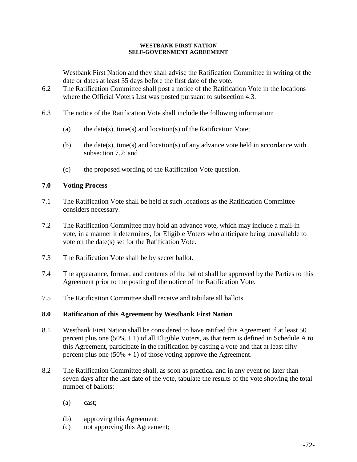### **WESTBANK FIRST NATION SELF-GOVERNMENT AGREEMENT**

Westbank First Nation and they shall advise the Ratification Committee in writing of the date or dates at least 35 days before the first date of the vote.

- 6.2 The Ratification Committee shall post a notice of the Ratification Vote in the locations where the Official Voters List was posted pursuant to subsection 4.3.
- 6.3 The notice of the Ratification Vote shall include the following information:
	- (a) the date(s), time(s) and location(s) of the Ratification Vote;
	- (b) the date(s), time(s) and location(s) of any advance vote held in accordance with subsection 7.2; and
	- (c) the proposed wording of the Ratification Vote question.

## **7.0 Voting Process**

- 7.1 The Ratification Vote shall be held at such locations as the Ratification Committee considers necessary.
- 7.2 The Ratification Committee may hold an advance vote, which may include a mail-in vote, in a manner it determines, for Eligible Voters who anticipate being unavailable to vote on the date(s) set for the Ratification Vote.
- 7.3 The Ratification Vote shall be by secret ballot.
- 7.4 The appearance, format, and contents of the ballot shall be approved by the Parties to this Agreement prior to the posting of the notice of the Ratification Vote.
- 7.5 The Ratification Committee shall receive and tabulate all ballots.

# **8.0 Ratification of this Agreement by Westbank First Nation**

- 8.1 Westbank First Nation shall be considered to have ratified this Agreement if at least 50 percent plus one  $(50\% + 1)$  of all Eligible Voters, as that term is defined in Schedule A to this Agreement, participate in the ratification by casting a vote and that at least fifty percent plus one  $(50\% + 1)$  of those voting approve the Agreement.
- 8.2 The Ratification Committee shall, as soon as practical and in any event no later than seven days after the last date of the vote, tabulate the results of the vote showing the total number of ballots:
	- (a) cast;
	- (b) approving this Agreement;
	- (c) not approving this Agreement;